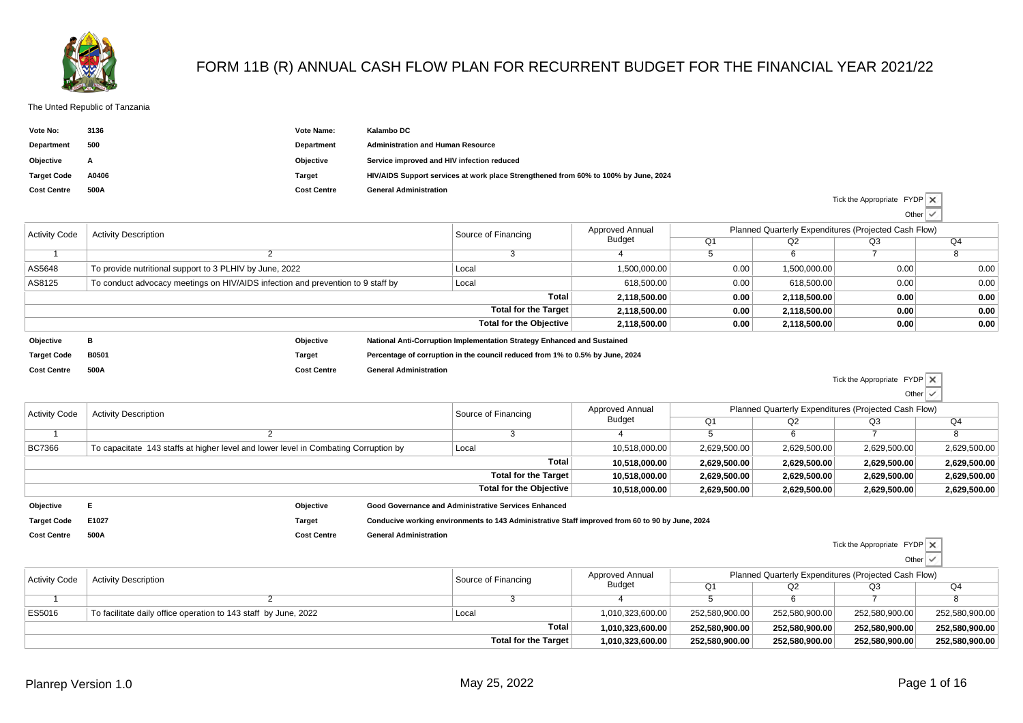

## FORM 11B (R) ANNUAL CASH FLOW PLAN FOR RECURRENT BUDGET FOR THE FINANCIAL YEAR 2021/22

## The Unted Republic of Tanzania

| Vote No:           | 3136  | Vote Name:         | Kalambo DC                                                                          |
|--------------------|-------|--------------------|-------------------------------------------------------------------------------------|
| Department         | 500   | Department         | <b>Administration and Human Resource</b>                                            |
| Objective          | A     | Objective          | Service improved and HIV infection reduced                                          |
| <b>Target Code</b> | A0406 | Target             | HIV/AIDS Support services at work place Strengthened from 60% to 100% by June, 2024 |
| <b>Cost Centre</b> | 500A  | <b>Cost Centre</b> | <b>General Administration</b>                                                       |

|                      |                                                                                 |                    |                                                                                                                                                                                                                                                                                                                                                                                                                               |  |                 |      |                                                      | $U$ ther $\vee$                                                                                                 |      |  |  |
|----------------------|---------------------------------------------------------------------------------|--------------------|-------------------------------------------------------------------------------------------------------------------------------------------------------------------------------------------------------------------------------------------------------------------------------------------------------------------------------------------------------------------------------------------------------------------------------|--|-----------------|------|------------------------------------------------------|-----------------------------------------------------------------------------------------------------------------|------|--|--|
| <b>Activity Code</b> | <b>Activity Description</b>                                                     |                    |                                                                                                                                                                                                                                                                                                                                                                                                                               |  | Approved Annual |      | Planned Quarterly Expenditures (Projected Cash Flow) |                                                                                                                 |      |  |  |
|                      |                                                                                 |                    | Source of Financing<br>Budget<br>Q <sub>1</sub><br>1,500,000.00<br>Local<br>618.500.00<br>Local<br><b>Total</b><br>2,118,500.00<br><b>Total for the Target</b><br>2,118,500.00<br><b>Total for the Objective</b><br>2,118,500.00<br>National Anti-Corruption Implementation Strategy Enhanced and Sustained<br>Percentage of corruption in the council reduced from 1% to 0.5% by June, 2024<br><b>General Administration</b> |  | Q2              | Q3   | Q4                                                   |                                                                                                                 |      |  |  |
|                      |                                                                                 |                    |                                                                                                                                                                                                                                                                                                                                                                                                                               |  |                 |      | 6                                                    |                                                                                                                 |      |  |  |
| AS5648               | To provide nutritional support to 3 PLHIV by June, 2022                         |                    |                                                                                                                                                                                                                                                                                                                                                                                                                               |  |                 | 0.00 | 1,500,000.00                                         | 0.00                                                                                                            | 0.00 |  |  |
| AS8125               | To conduct advocacy meetings on HIV/AIDS infection and prevention to 9 staff by |                    |                                                                                                                                                                                                                                                                                                                                                                                                                               |  |                 | 0.00 | 618.500.00                                           | 0.00                                                                                                            | 0.00 |  |  |
|                      |                                                                                 |                    |                                                                                                                                                                                                                                                                                                                                                                                                                               |  |                 | 0.00 | 2,118,500.00                                         | 0.00                                                                                                            | 0.00 |  |  |
|                      |                                                                                 |                    |                                                                                                                                                                                                                                                                                                                                                                                                                               |  |                 | 0.00 | 2,118,500.00                                         | 0.00                                                                                                            | 0.00 |  |  |
|                      |                                                                                 |                    |                                                                                                                                                                                                                                                                                                                                                                                                                               |  |                 | 0.00 | 2,118,500.00                                         | 0.00 <sub>1</sub>                                                                                               | 0.00 |  |  |
| Objective            | в                                                                               | Objective          |                                                                                                                                                                                                                                                                                                                                                                                                                               |  |                 |      |                                                      |                                                                                                                 |      |  |  |
| <b>Target Code</b>   | <b>B0501</b>                                                                    | Target             |                                                                                                                                                                                                                                                                                                                                                                                                                               |  |                 |      |                                                      |                                                                                                                 |      |  |  |
| <b>Cost Centre</b>   | 500A                                                                            | <b>Cost Centre</b> |                                                                                                                                                                                                                                                                                                                                                                                                                               |  |                 |      |                                                      | the contract of the contract of the contract of the contract of the contract of the contract of the contract of |      |  |  |

|                      |                             |                                                                                     |                               |                                                                                                 |                                                      |              |              |              | Other $\vee$   |  |
|----------------------|-----------------------------|-------------------------------------------------------------------------------------|-------------------------------|-------------------------------------------------------------------------------------------------|------------------------------------------------------|--------------|--------------|--------------|----------------|--|
| <b>Activity Code</b> | <b>Activity Description</b> |                                                                                     | Source of Financing           | <b>Approved Annual</b>                                                                          | Planned Quarterly Expenditures (Projected Cash Flow) |              |              |              |                |  |
|                      |                             |                                                                                     |                               |                                                                                                 | <b>Budget</b>                                        | Q1           | Q2           | Q3           | Q <sub>4</sub> |  |
|                      |                             |                                                                                     |                               |                                                                                                 |                                                      |              |              |              |                |  |
| <b>BC7366</b>        |                             | To capacitate 143 staffs at higher level and lower level in Combating Corruption by |                               |                                                                                                 | 10,518,000.00                                        | 2,629,500.00 | 2,629,500.00 | 2,629,500.00 | 2,629,500.00   |  |
|                      | <b>Total</b>                |                                                                                     |                               |                                                                                                 |                                                      | 2,629,500.00 | 2,629,500.00 | 2,629,500.00 | 2,629,500.00   |  |
|                      | Total for the Target        |                                                                                     |                               |                                                                                                 | 10,518,000.00                                        | 2,629,500.00 | 2,629,500.00 | 2,629,500.00 | 2,629,500.00   |  |
|                      |                             |                                                                                     |                               | Total for the Objective                                                                         | 10,518,000.00                                        | 2,629,500.00 | 2,629,500.00 | 2,629,500.00 | 2,629,500.00   |  |
| Objective            |                             | Objective                                                                           |                               | Good Governance and Administrative Services Enhanced                                            |                                                      |              |              |              |                |  |
| <b>Target Code</b>   | E1027                       | Target                                                                              |                               | Conducive working environments to 143 Administrative Staff improved from 60 to 90 by June, 2024 |                                                      |              |              |              |                |  |
| <b>Cost Centre</b>   | 500A                        | <b>Cost Centre</b>                                                                  | <b>General Administration</b> |                                                                                                 |                                                      |              |              |              |                |  |

| <b>Cost Centre</b> | <b>General Administration</b> |
|--------------------|-------------------------------|
|                    |                               |

Tick the Appropriate FYDPOther

Tick the Appropriate FYDP

Tick the Appropriate FYDP

Other

|                      |                                                                 |                      |                                                                                                                                                                                                                                                                  |                |                | $\sim$ $\sim$ $\sim$ |                |  |
|----------------------|-----------------------------------------------------------------|----------------------|------------------------------------------------------------------------------------------------------------------------------------------------------------------------------------------------------------------------------------------------------------------|----------------|----------------|----------------------|----------------|--|
| <b>Activity Code</b> | <b>Activity Description</b>                                     | Source of Financing  | Planned Quarterly Expenditures (Projected Cash Flow)<br>Approved Annual<br>Budget<br>Q2<br>Q4<br>Q3<br>252,580,900.00<br>252,580,900.00<br>252,580,900.00<br>1,010,323,600.00<br>Total<br>252.580.900.00<br>252,580,900.00<br>1.010.323.600.00<br>252,580,900.00 |                |                |                      |                |  |
|                      |                                                                 |                      |                                                                                                                                                                                                                                                                  |                |                |                      |                |  |
|                      |                                                                 |                      |                                                                                                                                                                                                                                                                  |                |                |                      |                |  |
| ES5016               | To facilitate daily office operation to 143 staff by June, 2022 | Local                |                                                                                                                                                                                                                                                                  |                |                |                      | 252,580,900.00 |  |
|                      |                                                                 |                      |                                                                                                                                                                                                                                                                  |                |                |                      | 252,580,900.00 |  |
|                      |                                                                 | Total for the Target | 1,010,323,600.00                                                                                                                                                                                                                                                 | 252,580,900.00 | 252,580,900.00 | 252,580,900.00       | 252,580,900.00 |  |
|                      |                                                                 |                      |                                                                                                                                                                                                                                                                  |                |                |                      |                |  |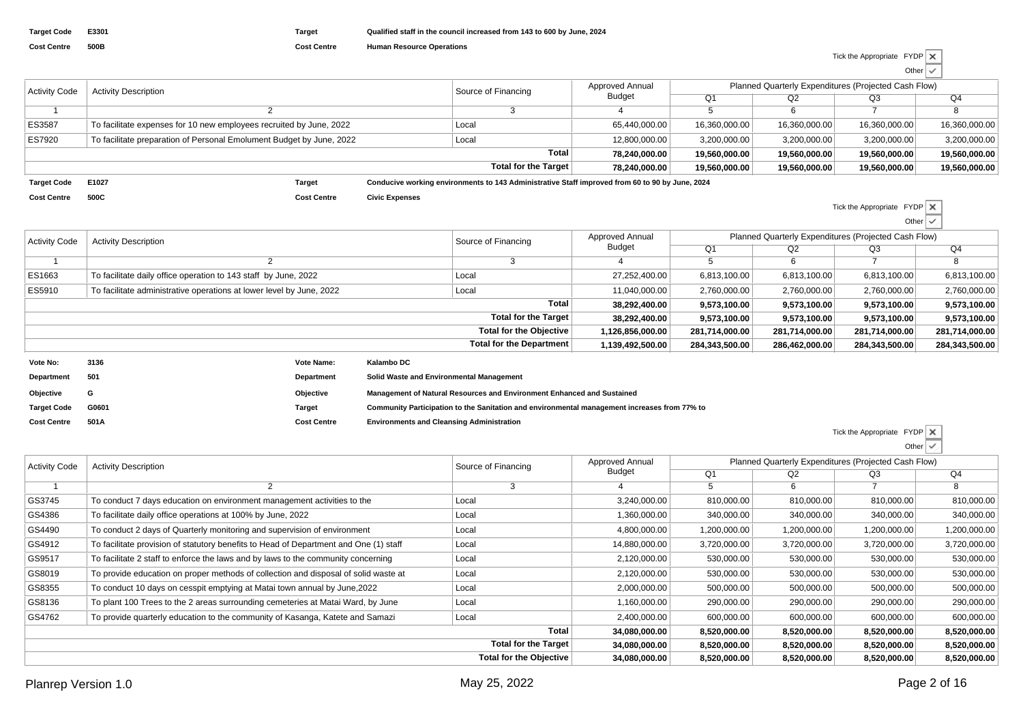| <b>Activity Code</b> | <b>Activity Description</b>                                          | Source of Financing                                                                             | <b>Approved Annual</b> | Planned Quarterly Expenditures (Projected Cash Flow) |               |               |               |
|----------------------|----------------------------------------------------------------------|-------------------------------------------------------------------------------------------------|------------------------|------------------------------------------------------|---------------|---------------|---------------|
|                      |                                                                      |                                                                                                 | <b>Budget</b>          | Q <sub>1</sub>                                       | Q2            | Q3            | Q4            |
|                      |                                                                      |                                                                                                 |                        |                                                      |               |               |               |
| ES3587               | To facilitate expenses for 10 new employees recruited by June, 2022  | Local                                                                                           | 65,440,000.00          | 16,360,000.00                                        | 16,360,000.00 | 16,360,000.00 | 16,360,000.00 |
| ES7920               | To facilitate preparation of Personal Emolument Budget by June, 2022 | Local                                                                                           | 12,800,000.00          | 3,200,000.00                                         | 3,200,000.00  | 3,200,000.00  | 3,200,000.00  |
|                      |                                                                      | Total                                                                                           | 78.240.000.00          | 19,560,000.00                                        | 19.560.000.00 | 19.560.000.00 | 19,560,000,00 |
|                      |                                                                      | Total for the Target                                                                            | 78.240.000.00          | 19,560,000.00                                        | 19,560,000,00 | 19,560,000.00 | 19,560,000.00 |
| <b>Target Code</b>   | E1027<br>Target                                                      | Conducive working environments to 143 Administrative Staff improved from 60 to 90 by June, 2024 |                        |                                                      |               |               |               |

**Target CodeCost Centre500C**

**Cost Centre Civic Expenses**

Tick the Appropriate FYDP▽ Other

| Activity Code | <b>Activity Description</b>                                          | Source of Financing             | Approved Annual  | Planned Quarterly Expenditures (Projected Cash Flow) |                                                                                                                                                                              |                |                |
|---------------|----------------------------------------------------------------------|---------------------------------|------------------|------------------------------------------------------|------------------------------------------------------------------------------------------------------------------------------------------------------------------------------|----------------|----------------|
|               |                                                                      |                                 | Budget           | Q <sub>1</sub>                                       | Q2<br>Q3<br>6,813,100.00<br>6,813,100.00<br>2,760,000.00<br>2,760,000.00<br>9,573,100.00<br>9,573,100.00<br>9,573,100.00<br>9,573,100.00<br>281,714,000.00<br>281,714,000.00 | Q4             |                |
|               |                                                                      |                                 |                  |                                                      |                                                                                                                                                                              |                |                |
| ES1663        | To facilitate daily office operation to 143 staff by June, 2022      | Local                           | 27,252,400.00    | 6,813,100.00                                         |                                                                                                                                                                              |                | 6,813,100.00   |
| ES5910        | To facilitate administrative operations at lower level by June, 2022 | Local                           | 11,040,000.00    | 2,760,000.00                                         |                                                                                                                                                                              |                | 2,760,000.00   |
|               |                                                                      | <b>Total</b>                    | 38,292,400.00    | 9,573,100.00                                         |                                                                                                                                                                              |                | 9,573,100.00   |
|               |                                                                      | Total for the Target            | 38,292,400.00    | 9,573,100.00                                         |                                                                                                                                                                              |                | 9,573,100.00   |
|               |                                                                      | <b>Total for the Objective</b>  | 1,126,856,000.00 | 281,714,000.00                                       |                                                                                                                                                                              |                | 281,714,000.00 |
|               |                                                                      | <b>Total for the Department</b> | 1,139,492,500.00 | 284,343,500.00                                       | 286,462,000.00                                                                                                                                                               | 284,343,500.00 | 284,343,500.00 |
|               |                                                                      |                                 |                  |                                                      |                                                                                                                                                                              |                |                |

| Vote No:           | 3136  | <b>Vote Name:</b>  | Kalambo DC                                                                                   |
|--------------------|-------|--------------------|----------------------------------------------------------------------------------------------|
| Department         | 501   | <b>Department</b>  | Solid Waste and Environmental Management                                                     |
| Objective          | G     | Objective          | Management of Natural Resources and Environment Enhanced and Sustained                       |
| <b>Target Code</b> | G0601 | Target             | Community Participation to the Sanitation and environmental management increases from 77% to |
| <b>Cost Centre</b> | 501A  | <b>Cost Centre</b> | <b>Environments and Cleansing Administration</b>                                             |

| Tick the Appropriate FYDP X |              |  |
|-----------------------------|--------------|--|
|                             | Other $\vee$ |  |

| <b>Activity Code</b> | <b>Activity Description</b>                                                           | Source of Financing            | Approved Annual | Planned Quarterly Expenditures (Projected Cash Flow) |              |                                                                                                                                                                      |              |  |  |  |
|----------------------|---------------------------------------------------------------------------------------|--------------------------------|-----------------|------------------------------------------------------|--------------|----------------------------------------------------------------------------------------------------------------------------------------------------------------------|--------------|--|--|--|
|                      |                                                                                       |                                | Budget          | Q <sub>1</sub>                                       | Q2           | Q3<br>810,000.00<br>340,000.00<br>1,200,000.00<br>3,720,000.00<br>530,000.00<br>530,000.00<br>500,000.00<br>290,000.00<br>600,000.00<br>8,520,000.00<br>8,520,000.00 | Q4           |  |  |  |
|                      |                                                                                       |                                |                 | <sub>5</sub>                                         | 6            |                                                                                                                                                                      | 8            |  |  |  |
| GS3745               | To conduct 7 days education on environment management activities to the               | Local                          | 3,240,000.00    | 810,000.00                                           | 810,000.00   |                                                                                                                                                                      | 810,000.00   |  |  |  |
| GS4386               | To facilitate daily office operations at 100% by June, 2022                           | Local                          | 1,360,000.00    | 340,000.00                                           | 340,000.00   |                                                                                                                                                                      | 340,000.00   |  |  |  |
| GS4490               | To conduct 2 days of Quarterly monitoring and supervision of environment              | Local                          | 4,800,000.00    | 1,200,000.00                                         | 1,200,000.00 |                                                                                                                                                                      | 1,200,000.00 |  |  |  |
| GS4912               | To facilitate provision of statutory benefits to Head of Department and One (1) staff | Local                          | 14,880,000.00   | 3,720,000.00                                         | 3,720,000.00 |                                                                                                                                                                      | 3,720,000.00 |  |  |  |
| GS9517               | To facilitate 2 staff to enforce the laws and by laws to the community concerning     | Local                          | 2,120,000.00    | 530,000.00                                           | 530,000.00   |                                                                                                                                                                      | 530,000.00   |  |  |  |
| GS8019               | To provide education on proper methods of collection and disposal of solid waste at   | Local                          | 2,120,000.00    | 530,000.00                                           | 530,000.00   |                                                                                                                                                                      | 530,000.00   |  |  |  |
| GS8355               | To conduct 10 days on cesspit emptying at Matai town annual by June, 2022             | Local                          | 2,000,000.00    | 500,000.00                                           | 500,000.00   |                                                                                                                                                                      | 500,000.00   |  |  |  |
| GS8136               | To plant 100 Trees to the 2 areas surrounding cemeteries at Matai Ward, by June       | Local                          | 1,160,000.00    | 290,000.00                                           | 290,000.00   |                                                                                                                                                                      | 290,000.00   |  |  |  |
| GS4762               | To provide quarterly education to the community of Kasanga, Katete and Samazi         | Local                          | 2,400,000.00    | 600,000.00                                           | 600,000.00   |                                                                                                                                                                      | 600,000.00   |  |  |  |
|                      |                                                                                       | Total                          | 34,080,000.00   | 8,520,000.00                                         | 8,520,000.00 |                                                                                                                                                                      | 8,520,000.00 |  |  |  |
|                      |                                                                                       | <b>Total for the Target</b>    | 34,080,000.00   | 8,520,000.00                                         | 8,520,000.00 |                                                                                                                                                                      | 8,520,000.00 |  |  |  |
|                      |                                                                                       | <b>Total for the Objective</b> | 34,080,000.00   | 8,520,000.00                                         | 8,520,000.00 | 8,520,000.00                                                                                                                                                         | 8,520,000.00 |  |  |  |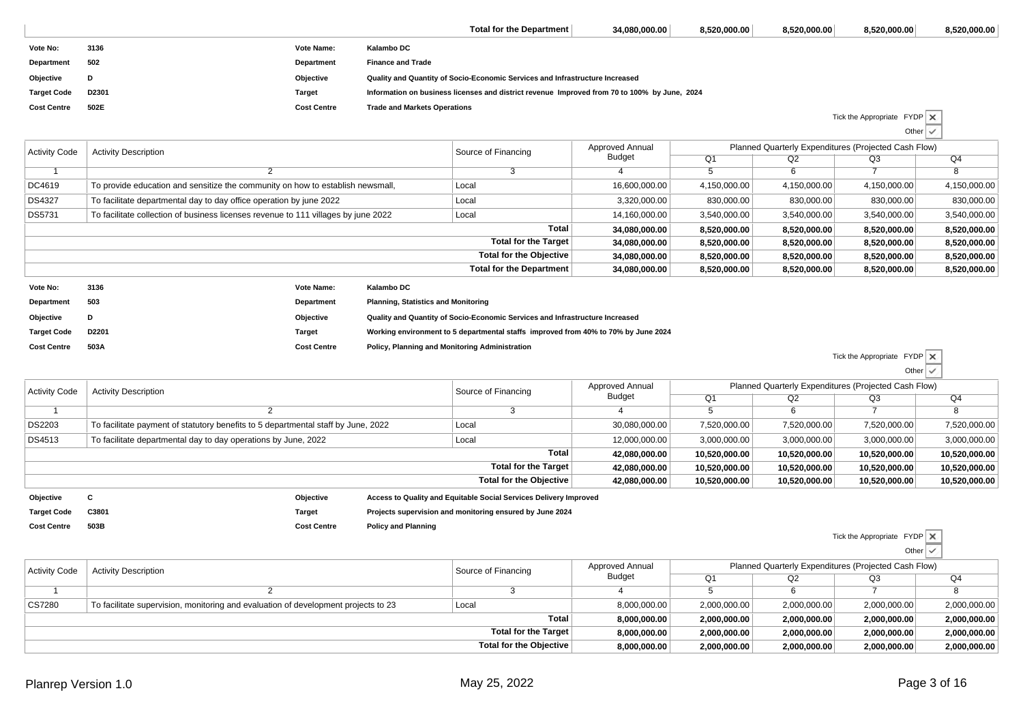|                    |       |                    | Total for the Department                                                                     | 34,080,000.00 | 8,520,000.00 | 8,520,000.00 | 8,520,000.00                       | 8,520,000.00 |
|--------------------|-------|--------------------|----------------------------------------------------------------------------------------------|---------------|--------------|--------------|------------------------------------|--------------|
| Vote No:           | 3136  | Vote Name:         | Kalambo DC                                                                                   |               |              |              |                                    |              |
| Department         | 502   | Department         | <b>Finance and Trade</b>                                                                     |               |              |              |                                    |              |
| Objective          | D     | Objective          | Quality and Quantity of Socio-Economic Services and Infrastructure Increased                 |               |              |              |                                    |              |
| <b>Target Code</b> | D2301 | Target             | Information on business licenses and district revenue Improved from 70 to 100% by June, 2024 |               |              |              |                                    |              |
| <b>Cost Centre</b> | 502E  | <b>Cost Centre</b> | <b>Trade and Markets Operations</b>                                                          |               |              |              |                                    |              |
|                    |       |                    |                                                                                              |               |              |              | Tick the Appropriate $FYDP \times$ |              |

| Activity Code | <b>Activity Description</b>                                                        | Source of Financing      | Planned Quarterly Expenditures (Projected Cash Flow)<br>Approved Annual<br><b>Budget</b><br>Q4<br>Q <sub>1</sub><br>Q2<br>Q3<br>b<br>16,600,000.00<br>4,150,000.00<br>4,150,000.00<br>4,150,000.00<br>830,000.00<br>830,000.00<br>830,000.00<br>3,320,000.00<br>3,540,000.00<br>14,160,000.00<br>3,540,000.00<br>3,540,000.00<br>8,520,000.00<br>34,080,000.00<br>8,520,000.00<br>8,520,000.00<br>34,080,000.00<br>8,520,000.00<br>8,520,000.00<br>8,520,000.00<br>8,520,000.00<br>34,080,000.00<br>8,520,000.00<br>8,520,000.00<br>34,080,000.00<br>8,520,000.00<br>8,520,000.00<br>8,520,000.00 |  |  |  |              |
|---------------|------------------------------------------------------------------------------------|--------------------------|---------------------------------------------------------------------------------------------------------------------------------------------------------------------------------------------------------------------------------------------------------------------------------------------------------------------------------------------------------------------------------------------------------------------------------------------------------------------------------------------------------------------------------------------------------------------------------------------------|--|--|--|--------------|
|               |                                                                                    |                          |                                                                                                                                                                                                                                                                                                                                                                                                                                                                                                                                                                                                   |  |  |  |              |
|               |                                                                                    |                          |                                                                                                                                                                                                                                                                                                                                                                                                                                                                                                                                                                                                   |  |  |  |              |
| DC4619        | To provide education and sensitize the community on how to establish newsmall,     | Local                    |                                                                                                                                                                                                                                                                                                                                                                                                                                                                                                                                                                                                   |  |  |  | 4,150,000.00 |
| DS4327        | To facilitate departmental day to day office operation by june 2022                | Local                    |                                                                                                                                                                                                                                                                                                                                                                                                                                                                                                                                                                                                   |  |  |  | 830,000.00   |
| DS5731        | To facilitate collection of business licenses revenue to 111 villages by june 2022 | Local                    |                                                                                                                                                                                                                                                                                                                                                                                                                                                                                                                                                                                                   |  |  |  | 3,540,000.00 |
|               |                                                                                    | Total                    |                                                                                                                                                                                                                                                                                                                                                                                                                                                                                                                                                                                                   |  |  |  | 8,520,000.00 |
|               |                                                                                    | Total for the Target     |                                                                                                                                                                                                                                                                                                                                                                                                                                                                                                                                                                                                   |  |  |  | 8,520,000.00 |
|               | Total for the Objective                                                            |                          |                                                                                                                                                                                                                                                                                                                                                                                                                                                                                                                                                                                                   |  |  |  | 8,520,000.00 |
|               |                                                                                    | Total for the Department |                                                                                                                                                                                                                                                                                                                                                                                                                                                                                                                                                                                                   |  |  |  | 8,520,000.00 |
| Vote No.      | Kalambo DC<br>Vote Name:<br>2126                                                   |                          |                                                                                                                                                                                                                                                                                                                                                                                                                                                                                                                                                                                                   |  |  |  |              |

| 3136  | <b>Vote Name:</b>  | Kalambo DC                                                                         |
|-------|--------------------|------------------------------------------------------------------------------------|
| 503   | Department         | <b>Planning, Statistics and Monitoring</b>                                         |
| D     | Objective          | Quality and Quantity of Socio-Economic Services and Infrastructure Increased       |
| D2201 | <b>Target</b>      | Working environment to 5 departmental staffs improved from 40% to 70% by June 2024 |
| 503A  | <b>Cost Centre</b> | Policy, Planning and Monitoring Administration                                     |
|       |                    |                                                                                    |

| Tick the Appropriate $FYDP \times$ |                 |  |
|------------------------------------|-----------------|--|
|                                    | Other $\sqrt{}$ |  |

Other

| <b>Activity Code</b> | <b>Activity Description</b>                                                       | Source of Financing                                               | Approved Annual | Planned Quarterly Expenditures (Projected Cash Flow) |               |               |               |
|----------------------|-----------------------------------------------------------------------------------|-------------------------------------------------------------------|-----------------|------------------------------------------------------|---------------|---------------|---------------|
|                      |                                                                                   |                                                                   | Budget          | Q <sub>1</sub>                                       | Q2            | Q3            | Q4            |
|                      |                                                                                   |                                                                   |                 |                                                      |               |               |               |
| <b>DS2203</b>        | To facilitate payment of statutory benefits to 5 departmental staff by June, 2022 | Local                                                             | 30,080,000.00   | 7,520,000.00                                         | 7,520,000.00  | 7,520,000.00  | 7,520,000.00  |
| DS4513               | To facilitate departmental day to day operations by June, 2022                    | Local                                                             | 12,000,000.00   | 3.000.000.00                                         | 3.000.000.00  | 3.000.000.00  | 3,000,000.00  |
|                      |                                                                                   | Total                                                             | 42.080.000.00   | 10,520,000.00                                        | 10,520,000.00 | 10.520.000.00 | 10,520,000.00 |
|                      |                                                                                   | Total for the Target                                              | 42.080.000.00   | 10,520,000.00                                        | 10,520,000.00 | 10,520,000.00 | 10,520,000.00 |
|                      | Total for the Objective                                                           |                                                                   |                 | 10,520,000.00                                        | 10,520,000.00 | 10,520,000.00 | 10,520,000.00 |
| Objective            | Objective<br>u                                                                    | Access to Quality and Equitable Social Services Delivery Improved |                 |                                                      |               |               |               |

| Target Code C3801 | Target | Projects supervision and monitoring ensured by June 2024 |
|-------------------|--------|----------------------------------------------------------|
|                   |        |                                                          |

**Cost Centre Policy and Planning**

Tick the Appropriate FYDP

Other

| <b>Activity Code</b> | <b>Activity Description</b>                                                        | Source of Financing | Approved Annual | Planned Quarterly Expenditures (Projected Cash Flow) |              |              |              |  |
|----------------------|------------------------------------------------------------------------------------|---------------------|-----------------|------------------------------------------------------|--------------|--------------|--------------|--|
|                      |                                                                                    | Budget              | O1              | Q2                                                   | Q3           | Q4           |              |  |
|                      |                                                                                    |                     |                 |                                                      |              |              |              |  |
| CS7280               | To facilitate supervision, monitoring and evaluation of development projects to 23 | Local               | 8,000,000.00    | 2,000,000.00                                         | 2,000,000.00 | 2,000,000.00 | 2,000,000.00 |  |
|                      |                                                                                    | Total               | 8.000.000.00    | 2.000.000.00                                         | 2.000.000.00 | 2,000,000.00 | 2,000,000.00 |  |
|                      | Total for the Target                                                               |                     |                 | 2,000,000.00                                         | 2.000.000.00 | 2,000,000.00 | 2,000,000.00 |  |
|                      | Total for the Objective                                                            |                     |                 | 2,000,000.00                                         | 2,000,000.00 | 2,000,000.00 | 2,000,000.00 |  |
|                      |                                                                                    |                     |                 |                                                      |              |              |              |  |

**Cost Centre**

**503B**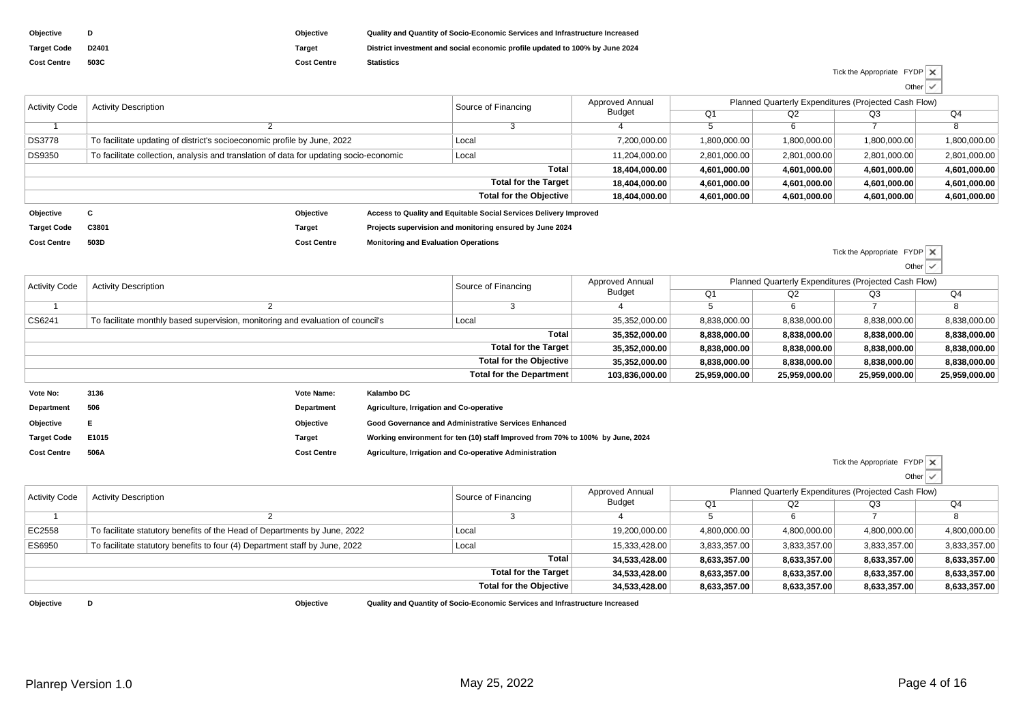| Objective          |                   | Obiective   | Quality and Quantity of Socio-Economic Services and Infrastructure Increased |
|--------------------|-------------------|-------------|------------------------------------------------------------------------------|
| <b>Target Code</b> | D <sub>2401</sub> | Tarɑet      | District investment and social economic profile updated to 100% by June 2024 |
| <b>Cost Centre</b> | 503C              | Cost Centre | <b>Statistics</b>                                                            |

## Tick the Appropriate FYDPOther

Tick the Appropriate FYDP

Other

|                      |                                                                                        |                    |                                             |                                                                   |                 |                                                      |              |              | __           |
|----------------------|----------------------------------------------------------------------------------------|--------------------|---------------------------------------------|-------------------------------------------------------------------|-----------------|------------------------------------------------------|--------------|--------------|--------------|
| <b>Activity Code</b> | <b>Activity Description</b>                                                            |                    |                                             | Source of Financing                                               | Approved Annual | Planned Quarterly Expenditures (Projected Cash Flow) |              |              |              |
|                      |                                                                                        |                    |                                             |                                                                   | Budget          | Q <sub>1</sub>                                       | Q2           | Q3           | Q4           |
|                      |                                                                                        |                    |                                             |                                                                   |                 | 6                                                    |              |              |              |
| <b>DS3778</b>        | To facilitate updating of district's socioeconomic profile by June, 2022               |                    | Local                                       | 7,200,000.00                                                      | 1,800,000.00    | 1,800,000.00                                         | 1,800,000.00 | 1,800,000.00 |              |
| <b>DS9350</b>        | To facilitate collection, analysis and translation of data for updating socio-economic |                    | Local                                       | 11.204.000.00                                                     | 2,801,000.00    | 2,801,000.00                                         | 2,801,000.00 | 2,801,000.00 |              |
|                      | Total                                                                                  |                    |                                             | 18.404.000.00                                                     | 4.601.000.00    | 4.601.000.00                                         | 4.601.000.00 | 4.601.000.00 |              |
|                      | <b>Total for the Target</b>                                                            |                    |                                             | 18,404,000.00                                                     | 4.601.000.00    | 4,601,000.00                                         | 4,601,000.00 | 4,601,000.00 |              |
|                      |                                                                                        |                    |                                             | Total for the Objective                                           | 18,404,000.00   | 4,601,000.00                                         | 4,601,000.00 | 4,601,000.00 | 4.601.000.00 |
| Objective            | c                                                                                      | Objective          |                                             | Access to Quality and Equitable Social Services Delivery Improved |                 |                                                      |              |              |              |
| <b>Target Code</b>   | C3801                                                                                  | <b>Target</b>      |                                             | Projects supervision and monitoring ensured by June 2024          |                 |                                                      |              |              |              |
| <b>Cost Centre</b>   | 503D                                                                                   | <b>Cost Centre</b> | <b>Monitoring and Evaluation Operations</b> |                                                                   |                 |                                                      |              |              |              |

 $Q<sub>4</sub>$  $\overline{8}$ 7 <sup>8</sup>  $\overline{O2}$ 2 | Q3 68,838,000.00 Q1 58,838,000.00 Approved AnnualBudget3 $\begin{array}{ccc} 3 & 4 \end{array}$ Source of Financing 2Activity Code Activity Description  $\overline{1}$  CS6241Planned Quarterly Expenditures (Projected Cash Flow)To facilitate monthly based supervision, monitoring and evaluation of council's <br>
Local 1990 100 100 2,838,000.00 8,838,000.00 8,838,000.00 8,838,000.00 8,838,000.00 8,838,000.00 8,838,000.00 **Total 35,352,000.00 8,838,000.00 8,838,000.00 8,838,000.00 8,838,000.00 Total for the Target 35,352,000.00 8,838,000.00 8,838,000.00 8,838,000.00 8,838,000.00 Total for the Objective 35,352,000.00 8,838,000.00 8,838,000.00 8,838,000.00 8,838,000.00 Total for the Department 103,836,000.00 25,959,000.00 25,959,000.00 25,959,000.00 25,959,000.00 Vote No: <sup>3136</sup>Department 506Vote Name: Kalambo DC Agriculture, Irrigation and Co-operativeDepartment**

| Obiective          |       | Objective          | Good Governance and Administrative Services Enhanced                           |
|--------------------|-------|--------------------|--------------------------------------------------------------------------------|
| <b>Target Code</b> | E1015 | Tarɑet             | Working environment for ten (10) staff Improved from 70% to 100% by June, 2024 |
| <b>Cost Centre</b> | 506A  | <b>Cost Centre</b> | Agriculture, Irrigation and Co-operative Administration                        |

**Cost Centre Agriculture, Irrigation and Co-operative Administration**

Tick the Appropriate FYDP Other $\overline{\mathsf{v}}$ 

| <b>Activity Code</b><br><b>Activity Description</b> |                                                                             | Source of Financing            | <b>Approved Annual</b> | Planned Quarterly Expenditures (Projected Cash Flow) |              |              |              |
|-----------------------------------------------------|-----------------------------------------------------------------------------|--------------------------------|------------------------|------------------------------------------------------|--------------|--------------|--------------|
|                                                     |                                                                             | <b>Budget</b>                  | Q <sub>1</sub>         | Q2                                                   | Q3           | Q4           |              |
|                                                     |                                                                             |                                |                        |                                                      |              |              |              |
| EC2558                                              | To facilitate statutory benefits of the Head of Departments by June, 2022   | Local                          | 19,200,000.00          | 4,800,000.00                                         | 4,800,000.00 | 4,800,000.00 | 4,800,000.00 |
| ES6950                                              | To facilitate statutory benefits to four (4) Department staff by June, 2022 | Local                          | 15,333,428.00          | 3,833,357.00                                         | 3,833,357.00 | 3,833,357.00 | 3,833,357.00 |
|                                                     |                                                                             | <b>Total</b>                   | 34,533,428.00          | 8,633,357.00                                         | 8,633,357.00 | 8,633,357.00 | 8,633,357.00 |
|                                                     |                                                                             | Total for the Target           | 34,533,428.00          | 8,633,357.00                                         | 8,633,357.00 | 8,633,357.00 | 8,633,357.00 |
|                                                     |                                                                             | <b>Total for the Objective</b> | 34,533,428.00          | 8,633,357.00                                         | 8,633,357.00 | 8,633,357.00 | 8,633,357.00 |
|                                                     |                                                                             |                                |                        |                                                      |              |              |              |

**Objective<sup>D</sup>**

**Objective Quality and Quantity of Socio-Economic Services and Infrastructure Increased**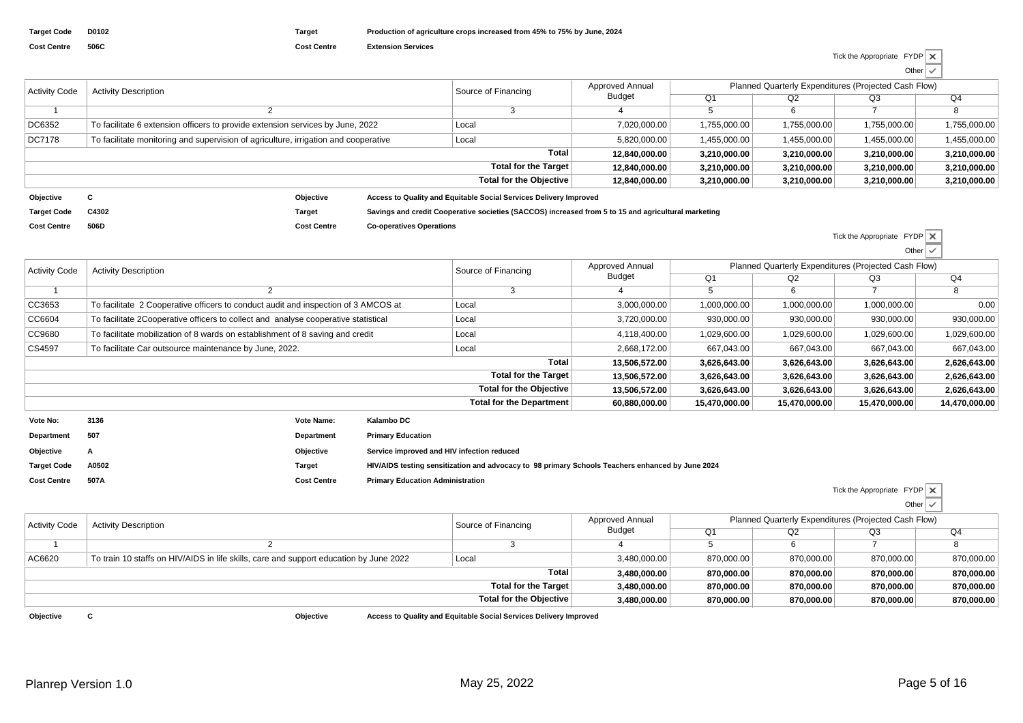| <b>Activity Code</b> | <b>Activity Description</b>                                                         |                         | Source of Financing                                                                                 | Approved Annual      | Planned Quarterly Expenditures (Projected Cash Flow) |                |              |              |              |
|----------------------|-------------------------------------------------------------------------------------|-------------------------|-----------------------------------------------------------------------------------------------------|----------------------|------------------------------------------------------|----------------|--------------|--------------|--------------|
|                      |                                                                                     |                         |                                                                                                     |                      | Budget                                               | Q <sub>1</sub> | Q2           | Q3           | Q4           |
|                      |                                                                                     |                         |                                                                                                     |                      |                                                      |                |              |              |              |
| DC6352               | To facilitate 6 extension officers to provide extension services by June, 2022      |                         | Local                                                                                               | 7,020,000.00         | 1,755,000.00                                         | 1,755,000.00   | 1,755,000.00 | 1,755,000.00 |              |
| DC7178               | To facilitate monitoring and supervision of agriculture, irrigation and cooperative |                         |                                                                                                     | Local                | 5,820,000.00                                         | 1,455,000.00   | 1,455,000.00 | 1,455,000.00 | 1,455,000.00 |
|                      | <b>Total</b>                                                                        |                         |                                                                                                     |                      | 12.840.000.00                                        | 3,210,000.00   | 3.210.000.00 | 3,210,000.00 | 3,210,000.00 |
|                      |                                                                                     |                         |                                                                                                     | Total for the Target | 12.840.000.00                                        | 3,210,000.00   | 3,210,000.00 | 3,210,000.00 | 3,210,000.00 |
|                      |                                                                                     | Total for the Objective |                                                                                                     |                      | 12,840,000.00                                        | 3,210,000.00   | 3,210,000.00 | 3,210,000.00 | 3,210,000.00 |
| Objective            |                                                                                     | Objective               | Access to Quality and Equitable Social Services Delivery Improved                                   |                      |                                                      |                |              |              |              |
| <b>Target Code</b>   | C4302                                                                               | <b>Target</b>           | Savings and credit Cooperative societies (SACCOS) increased from 5 to 15 and agricultural marketing |                      |                                                      |                |              |              |              |

**Cost Centre506D**

**Cost Centre Co-operatives Operations**

Tick the Appropriate FYDPOther

| <b>Activity Code</b>           | <b>Activity Description</b>                                                                 | Source of Financing             | Approved Annual | Planned Quarterly Expenditures (Projected Cash Flow) |               |               |               |  |
|--------------------------------|---------------------------------------------------------------------------------------------|---------------------------------|-----------------|------------------------------------------------------|---------------|---------------|---------------|--|
|                                |                                                                                             |                                 | <b>Budget</b>   | Q <sub>1</sub>                                       | Q2            | Q3            | Q4            |  |
|                                |                                                                                             |                                 |                 | Ð                                                    | 6             |               |               |  |
| CC3653                         | To facilitate 2 Cooperative officers to conduct audit and inspection of 3 AMCOS at<br>Local |                                 | 3,000,000.00    | 1,000,000.00                                         | 1,000,000.00  | 1,000,000.00  | 0.00          |  |
| CC6604                         | To facilitate 2Cooperative officers to collect and analyse cooperative statistical<br>Local |                                 | 3,720,000.00    | 930,000.00                                           | 930,000.00    | 930,000.00    | 930,000.00    |  |
| CC9680                         | To facilitate mobilization of 8 wards on establishment of 8 saving and credit               | Local                           | 4,118,400.00    | 1,029,600.00                                         | 1,029,600.00  | 1,029,600.00  | 1,029,600.00  |  |
| CS4597                         | To facilitate Car outsource maintenance by June, 2022.                                      | Local                           | 2,668,172.00    | 667,043.00                                           | 667.043.00    | 667,043.00    | 667,043.00    |  |
|                                |                                                                                             | Total                           | 13.506.572.00   | 3,626,643.00                                         | 3,626,643.00  | 3,626,643.00  | 2,626,643.00  |  |
|                                |                                                                                             | <b>Total for the Target</b>     | 13,506,572.00   | 3,626,643.00                                         | 3,626,643.00  | 3,626,643.00  | 2,626,643.00  |  |
| <b>Total for the Objective</b> |                                                                                             |                                 | 13.506.572.00   | 3,626,643.00                                         | 3,626,643.00  | 3,626,643.00  | 2,626,643.00  |  |
|                                |                                                                                             | <b>Total for the Department</b> | 60,880,000.00   | 15,470,000.00                                        | 15,470,000.00 | 15,470,000.00 | 14,470,000.00 |  |
| Vote No:                       | 3136<br>Kalambo DC<br>Vote Name:                                                            |                                 |                 |                                                      |               |               |               |  |

| 3136  |                    | Kalambo DC                                                                                       |
|-------|--------------------|--------------------------------------------------------------------------------------------------|
| 507   | Department         | <b>Primary Education</b>                                                                         |
| A     | Objective          | Service improved and HIV infection reduced                                                       |
| A0502 | Target             | HIV/AIDS testing sensitization and advocacy to 98 primary Schools Teachers enhanced by June 2024 |
| 507A  | <b>Cost Centre</b> | <b>Primary Education Administration</b>                                                          |
|       |                    | <b>Vote Name:</b>                                                                                |

|                      |                                                                                        |                                                                   |                 |            |            | Tick the Appropriate $FYDP \times$                   |            |
|----------------------|----------------------------------------------------------------------------------------|-------------------------------------------------------------------|-----------------|------------|------------|------------------------------------------------------|------------|
|                      |                                                                                        |                                                                   |                 |            |            | Other $\vee$                                         |            |
| <b>Activity Code</b> | <b>Activity Description</b>                                                            | Source of Financing                                               | Approved Annual |            |            | Planned Quarterly Expenditures (Projected Cash Flow) |            |
|                      |                                                                                        |                                                                   | <b>Budget</b>   | Q1         | Q2         | Q3                                                   | Q4         |
|                      |                                                                                        |                                                                   |                 |            | 6          |                                                      |            |
| AC6620               | To train 10 staffs on HIV/AIDS in life skills, care and support education by June 2022 | Local                                                             | 3,480,000.00    | 870,000.00 | 870,000.00 | 870,000.00                                           | 870,000.00 |
|                      |                                                                                        | <b>Total</b>                                                      | 3,480,000.00    | 870.000.00 | 870.000.00 | 870.000.00                                           | 870,000.00 |
|                      |                                                                                        | Total for the Target                                              | 3,480,000.00    | 870.000.00 | 870,000.00 | 870,000.00                                           | 870,000.00 |
|                      |                                                                                        | Total for the Objective                                           | 3,480,000.00    | 870,000.00 | 870,000.00 | 870,000.00                                           | 870,000.00 |
| Objective            | Objective<br>u                                                                         | Access to Quality and Equitable Social Services Delivery Improved |                 |            |            |                                                      |            |

**Objective Access to Quality and Equitable Social Services Delivery Improved**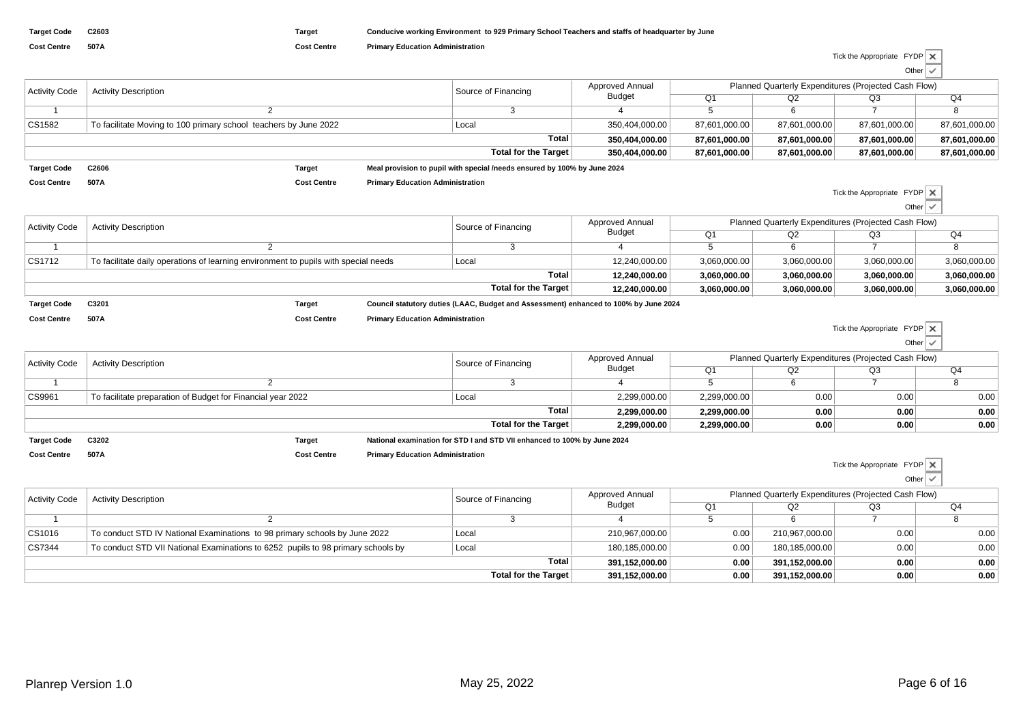Tick the Appropriate FYDP Other $\overline{\vee}$ 

Tick the Appropriate FYDP

| <b>Activity Code</b> | <b>Activity Description</b>                                      |                    | Source of Financing                     | Approved Annual                                                          | Planned Quarterly Expenditures (Projected Cash Flow) |               |               |                                    |               |
|----------------------|------------------------------------------------------------------|--------------------|-----------------------------------------|--------------------------------------------------------------------------|------------------------------------------------------|---------------|---------------|------------------------------------|---------------|
|                      |                                                                  |                    |                                         |                                                                          | Budget                                               | Q1            | Q2            | Q3                                 | Q4            |
|                      |                                                                  |                    |                                         |                                                                          |                                                      |               |               |                                    |               |
| CS1582               | To facilitate Moving to 100 primary school teachers by June 2022 |                    |                                         | Local                                                                    | 350,404,000.00                                       | 87,601,000.00 | 87,601,000.00 | 87,601,000.00                      | 87,601,000.00 |
|                      | Total                                                            |                    |                                         |                                                                          | 350,404,000.00                                       | 87,601,000.00 | 87,601,000.00 | 87,601,000.00                      | 87,601,000.00 |
|                      |                                                                  |                    |                                         | Total for the Target                                                     | 350,404,000.00                                       | 87,601,000.00 | 87,601,000.00 | 87,601,000.00                      | 87,601,000.00 |
| <b>Target Code</b>   | C2606                                                            | <b>Target</b>      |                                         | Meal provision to pupil with special /needs ensured by 100% by June 2024 |                                                      |               |               |                                    |               |
| <b>Cost Centre</b>   | 507A                                                             | <b>Cost Centre</b> | <b>Primary Education Administration</b> |                                                                          |                                                      |               |               |                                    |               |
|                      |                                                                  |                    |                                         |                                                                          |                                                      |               |               | Tick the Appropriate $FYDP \times$ |               |

Other

Other

| <b>Activity Code</b> | <b>Activity Description</b>                                                         |                    | Source of Financing                     | Approved Annual<br>Budget                                                            | Planned Quarterly Expenditures (Projected Cash Flow) |                |              |              |                |
|----------------------|-------------------------------------------------------------------------------------|--------------------|-----------------------------------------|--------------------------------------------------------------------------------------|------------------------------------------------------|----------------|--------------|--------------|----------------|
|                      |                                                                                     |                    |                                         |                                                                                      |                                                      | Q <sub>1</sub> | Q2           | Q3           | Q <sub>4</sub> |
|                      |                                                                                     |                    |                                         |                                                                                      |                                                      |                |              |              |                |
| CS1712               | To facilitate daily operations of learning environment to pupils with special needs |                    |                                         | Local                                                                                | 12,240,000.00                                        | 3,060,000.00   | 3,060,000.00 | 3,060,000.00 | 3,060,000.00   |
|                      |                                                                                     |                    |                                         | Total                                                                                | 12.240.000.00                                        | 3.060.000.00   | 3.060.000.00 | 3.060.000.00 | 3,060,000.00   |
|                      |                                                                                     |                    |                                         | Total for the Target                                                                 | 12.240.000.00                                        | 3,060,000.00   | 3,060,000.00 | 3,060,000.00 | 3,060,000.00   |
| <b>Target Code</b>   | C3201                                                                               | <b>Target</b>      |                                         | Council statutory duties (LAAC, Budget and Assessment) enhanced to 100% by June 2024 |                                                      |                |              |              |                |
| <b>Cost Centre</b>   | 507A                                                                                | <b>Cost Centre</b> | <b>Primary Education Administration</b> |                                                                                      |                                                      |                |              |              | $-$            |

| <b>Activity Code</b> | <b>Activity Description</b>                                 |                    | Source of Financing                     | <b>Approved Annual</b>                                                   | Planned Quarterly Expenditures (Projected Cash Flow) |                |      |      |      |
|----------------------|-------------------------------------------------------------|--------------------|-----------------------------------------|--------------------------------------------------------------------------|------------------------------------------------------|----------------|------|------|------|
|                      |                                                             |                    |                                         |                                                                          | Budget                                               | Q <sub>1</sub> | Q2   | Q3   | Q4   |
|                      |                                                             |                    |                                         |                                                                          |                                                      |                |      |      |      |
| CS9961               | To facilitate preparation of Budget for Financial year 2022 |                    |                                         | Local                                                                    | 2,299,000.00                                         | 2,299,000.00   | 0.00 | 0.00 | 0.00 |
|                      |                                                             |                    |                                         | Total                                                                    | 2.299.000.00                                         | 2.299.000.00   | 0.00 | 0.00 | 0.00 |
|                      |                                                             |                    |                                         | Total for the Target                                                     | 2,299,000.00                                         | 2,299,000.00   | 0.00 | 0.00 | 0.00 |
| <b>Target Code</b>   | C3202                                                       | Target             |                                         | National examination for STD I and STD VII enhanced to 100% by June 2024 |                                                      |                |      |      |      |
| <b>Cost Centre</b>   | 507A                                                        | <b>Cost Centre</b> | <b>Primary Education Administration</b> |                                                                          |                                                      |                |      |      |      |

|                      |                                                                                  |                             |                 |                |                | Tick the Appropriate FYDP X                          |              |
|----------------------|----------------------------------------------------------------------------------|-----------------------------|-----------------|----------------|----------------|------------------------------------------------------|--------------|
|                      |                                                                                  |                             |                 |                |                |                                                      | Other $\vee$ |
| <b>Activity Code</b> | <b>Activity Description</b>                                                      | Source of Financing         | Approved Annual |                |                | Planned Quarterly Expenditures (Projected Cash Flow) |              |
|                      |                                                                                  |                             | Budget          | O <sub>1</sub> | Q2             | Q3                                                   | Q4           |
|                      |                                                                                  |                             |                 |                |                |                                                      |              |
| CS1016               | To conduct STD IV National Examinations to 98 primary schools by June 2022       | Local                       | 210,967,000.00  | 0.00           | 210,967,000.00 | 0.00                                                 | 0.00         |
| CS7344               | To conduct STD VII National Examinations to 6252 pupils to 98 primary schools by | Local                       | 180,185,000.00  | 0.00           | 180,185,000.00 | 0.00                                                 | 0.00         |
|                      |                                                                                  | Total                       | 391.152.000.00  | 0.00           | 391,152,000.00 | 0.00                                                 | 0.00         |
|                      |                                                                                  | <b>Total for the Target</b> | 391.152.000.00  | 0.00           | 391.152.000.00 | 0.00                                                 | 0.00         |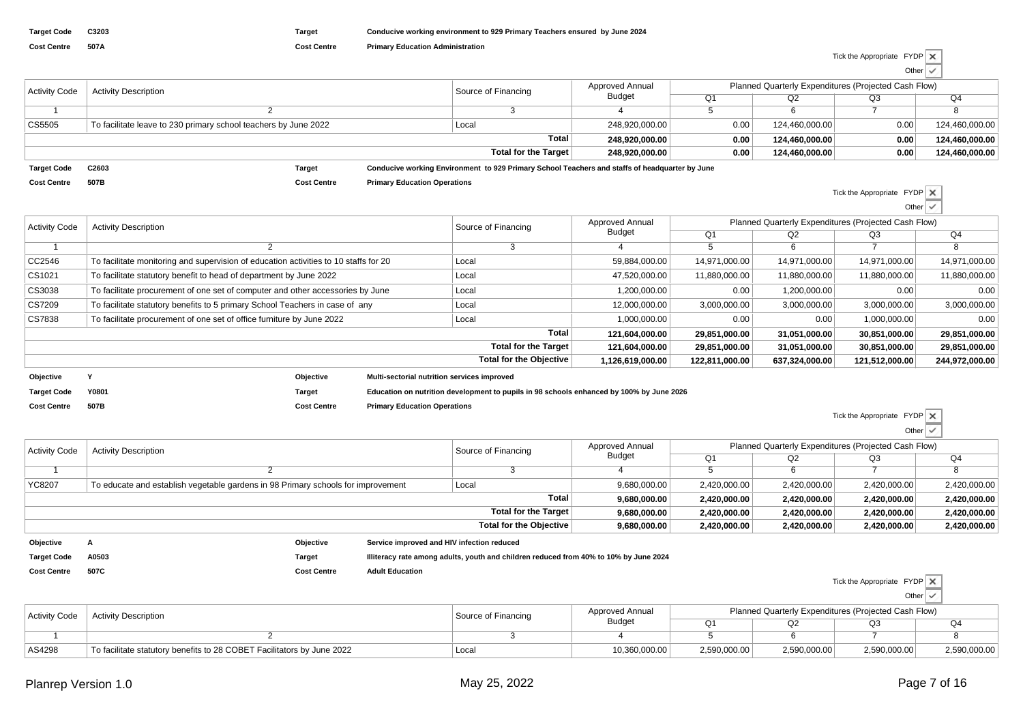| <b>Activity Code</b> | <b>Activity Description</b>                                     |                    | Source of Financing                 | Approved Annual                                                                                | Planned Quarterly Expenditures (Projected Cash Flow) |      |                |      |                |
|----------------------|-----------------------------------------------------------------|--------------------|-------------------------------------|------------------------------------------------------------------------------------------------|------------------------------------------------------|------|----------------|------|----------------|
|                      |                                                                 |                    |                                     |                                                                                                | <b>Budget</b>                                        | Q1   | Q2             | Q3   | Q4             |
|                      |                                                                 |                    |                                     |                                                                                                |                                                      |      |                |      |                |
| CS5505               | To facilitate leave to 230 primary school teachers by June 2022 |                    |                                     | Local                                                                                          | 248.920.000.00                                       | 0.00 | 124.460.000.00 | 0.00 | 124,460,000.00 |
|                      |                                                                 |                    |                                     | Total                                                                                          | 248.920.000.00                                       | 0.00 | 124.460.000.00 | 0.00 | 124,460,000.00 |
|                      |                                                                 |                    |                                     | <b>Total for the Target</b>                                                                    | 248.920.000.00                                       | 0.00 | 124.460.000.00 | 0.00 | 124,460,000.00 |
| <b>Target Code</b>   | C2603                                                           | Target             |                                     | Conducive working Environment to 929 Primary School Teachers and staffs of headquarter by June |                                                      |      |                |      |                |
| <b>Cost Centre</b>   | 507B                                                            | <b>Cost Centre</b> | <b>Primary Education Operations</b> |                                                                                                |                                                      |      |                |      |                |

| Tick the Appropriate FYDP |                     |  |
|---------------------------|---------------------|--|
|                           | Other $\vert \cdot$ |  |

| <b>Activity Code</b> | <b>Activity Description</b>                                                          |             |                                             | Approved Annual<br>Source of Financing                                                   |                  |                |                | Planned Quarterly Expenditures (Projected Cash Flow) |                |
|----------------------|--------------------------------------------------------------------------------------|-------------|---------------------------------------------|------------------------------------------------------------------------------------------|------------------|----------------|----------------|------------------------------------------------------|----------------|
|                      |                                                                                      |             |                                             |                                                                                          | Budget           | Q1             | Q2             | Q3                                                   | Q4             |
|                      |                                                                                      |             |                                             |                                                                                          |                  |                | 6              |                                                      |                |
| CC2546               | To facilitate monitoring and supervision of education activities to 10 staffs for 20 |             |                                             | Local                                                                                    | 59,884,000.00    | 14,971,000.00  | 14,971,000.00  | 14,971,000.00                                        | 14,971,000.00  |
| CS1021               | To facilitate statutory benefit to head of department by June 2022                   |             |                                             | Local                                                                                    | 47,520,000.00    | 11,880,000.00  | 11,880,000.00  | 11,880,000.00                                        | 11,880,000.00  |
| CS3038               | To facilitate procurement of one set of computer and other accessories by June       |             |                                             | Local                                                                                    | 1,200,000.00     | 0.00           | 1,200,000.00   | 0.00                                                 | 0.00           |
| CS7209               | To facilitate statutory benefits to 5 primary School Teachers in case of any         |             |                                             | Local                                                                                    | 12,000,000.00    | 3,000,000.00   | 3,000,000.00   | 3,000,000.00                                         | 3,000,000.00   |
| CS7838               | To facilitate procurement of one set of office furniture by June 2022                |             |                                             | Local                                                                                    | 1,000,000.00     | 0.00           | 0.00           | 1,000,000.00                                         | 0.00           |
|                      |                                                                                      |             |                                             | Total                                                                                    | 121,604,000.00   | 29,851,000.00  | 31,051,000.00  | 30,851,000.00                                        | 29,851,000.00  |
|                      |                                                                                      |             |                                             | <b>Total for the Target</b>                                                              | 121,604,000.00   | 29,851,000.00  | 31,051,000.00  | 30,851,000.00                                        | 29,851,000.00  |
|                      |                                                                                      |             |                                             | <b>Total for the Objective</b>                                                           | 1,126,619,000.00 | 122,811,000.00 | 637,324,000.00 | 121,512,000.00                                       | 244,972,000.00 |
| Objective            |                                                                                      | Objective   | Multi-sectorial nutrition services improved |                                                                                          |                  |                |                |                                                      |                |
| <b>Target Code</b>   | Y0801                                                                                | Target      |                                             | Education on nutrition development to pupils in 98 schools enhanced by 100% by June 2026 |                  |                |                |                                                      |                |
| Cost Centre          | 507B                                                                                 | Cost Centre | <b>Primary Education Operations</b>         |                                                                                          |                  |                |                |                                                      |                |

**Cost Centre Primary Education Operations**

Tick the Appropriate FYDP

|                      |                                                                                  |              |                     |                                                                                       |                                                      |              |              |              | __           |
|----------------------|----------------------------------------------------------------------------------|--------------|---------------------|---------------------------------------------------------------------------------------|------------------------------------------------------|--------------|--------------|--------------|--------------|
| <b>Activity Code</b> | <b>Activity Description</b>                                                      |              | Source of Financing | Approved Annual                                                                       | Planned Quarterly Expenditures (Projected Cash Flow) |              |              |              |              |
|                      |                                                                                  |              |                     |                                                                                       | Budget                                               | Q1           | Q2           | Q3           | Q4           |
|                      |                                                                                  |              |                     |                                                                                       |                                                      |              |              |              |              |
| YC8207               | To educate and establish vegetable gardens in 98 Primary schools for improvement |              |                     | Local                                                                                 | 9,680,000.00                                         | 2,420,000.00 | 2,420,000.00 | 2,420,000.00 | 2,420,000.00 |
|                      |                                                                                  | 9.680.000.00 | 2,420,000.00        | 2,420,000.00                                                                          | 2,420,000.00                                         | 2,420,000.00 |              |              |              |
|                      |                                                                                  |              |                     | Total for the Target                                                                  | 9,680,000.00                                         | 2,420,000.00 | 2,420,000.00 | 2,420,000.00 | 2,420,000.00 |
|                      |                                                                                  |              |                     | Total for the Objective                                                               | 9,680,000.00                                         | 2,420,000.00 | 2,420,000.00 | 2,420,000.00 | 2,420,000.00 |
| Objective            | Objective<br>Service improved and HIV infection reduced                          |              |                     |                                                                                       |                                                      |              |              |              |              |
| <b>Target Code</b>   | A0503                                                                            | Target       |                     | Illiteracy rate among adults, youth and children reduced from 40% to 10% by June 2024 |                                                      |              |              |              |              |

- **Cost Centre 507C**
	- **Cost Centre Adult Education**

Tick the Appropriate FYDP

| ∩ther |  |
|-------|--|
|       |  |

| <b>Activity Code</b> | <b>Activity Description</b>                                            | Source of Financing | Approved Annual | Planned Quarterly Expenditures (Projected Cash Flow) |              |              |              |  |  |
|----------------------|------------------------------------------------------------------------|---------------------|-----------------|------------------------------------------------------|--------------|--------------|--------------|--|--|
|                      |                                                                        |                     | <b>Budget</b>   |                                                      |              |              |              |  |  |
|                      |                                                                        |                     |                 |                                                      |              |              |              |  |  |
| AS4298               | To facilitate statutory benefits to 28 COBET Facilitators by June 2022 | Local               | 10,360,000.00   | 2,590,000.00                                         | 2,590,000.00 | 2,590,000.00 | 2,590,000.00 |  |  |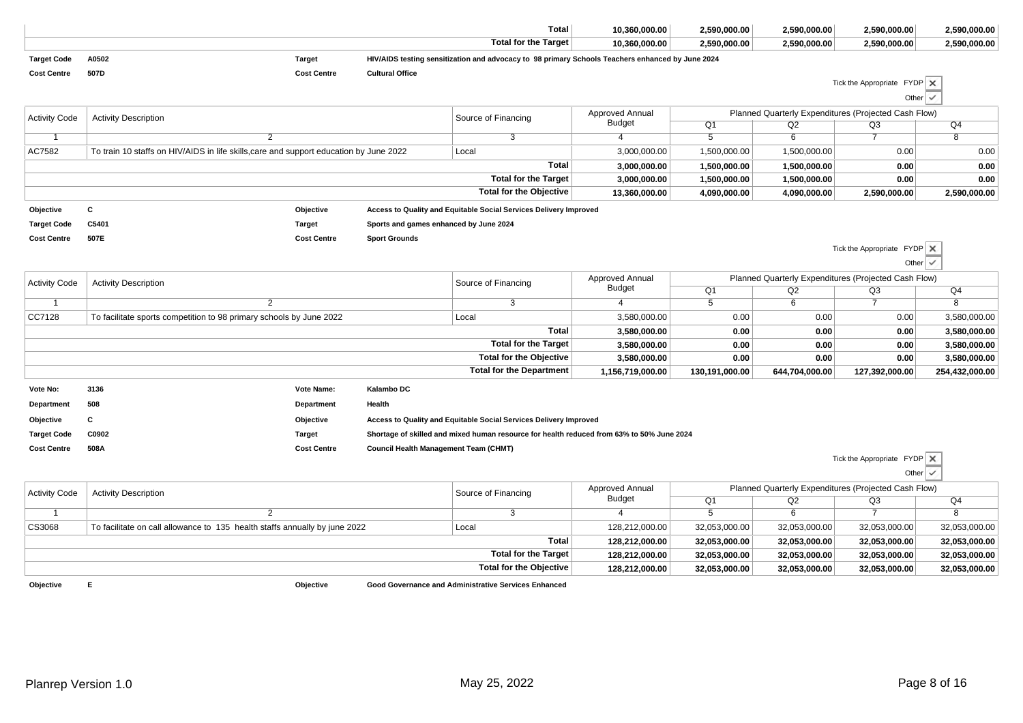|                      |                                                                                        |                    |                                                                                                | <b>Total</b>                                                                                     | 10,360,000.00    | 2,590,000.00    | 2,590,000.00                                         | 2,590,000.00                       | 2,590,000.00             |  |
|----------------------|----------------------------------------------------------------------------------------|--------------------|------------------------------------------------------------------------------------------------|--------------------------------------------------------------------------------------------------|------------------|-----------------|------------------------------------------------------|------------------------------------|--------------------------|--|
|                      |                                                                                        |                    |                                                                                                | <b>Total for the Target</b>                                                                      | 10,360,000.00    | 2,590,000.00    | 2,590,000.00                                         | 2,590,000.00                       | 2,590,000.00             |  |
| <b>Target Code</b>   | A0502                                                                                  | <b>Target</b>      |                                                                                                | HIV/AIDS testing sensitization and advocacy to 98 primary Schools Teachers enhanced by June 2024 |                  |                 |                                                      |                                    |                          |  |
| <b>Cost Centre</b>   | 507D                                                                                   | <b>Cost Centre</b> | <b>Cultural Office</b>                                                                         |                                                                                                  |                  |                 |                                                      |                                    |                          |  |
|                      |                                                                                        |                    |                                                                                                |                                                                                                  |                  |                 |                                                      | Tick the Appropriate $FYDP \times$ |                          |  |
|                      |                                                                                        |                    |                                                                                                |                                                                                                  |                  |                 |                                                      | Other                              | $\checkmark$             |  |
| <b>Activity Code</b> | <b>Activity Description</b>                                                            |                    |                                                                                                | Source of Financing                                                                              | Approved Annual  |                 | Planned Quarterly Expenditures (Projected Cash Flow) |                                    |                          |  |
|                      |                                                                                        |                    |                                                                                                |                                                                                                  | <b>Budget</b>    | Q1              | Q2                                                   | $\overline{Q3}$                    | Q <sub>4</sub>           |  |
| $\overline{1}$       |                                                                                        | $\overline{2}$     |                                                                                                | $\overline{3}$                                                                                   | $\overline{4}$   | $5\overline{)}$ | $\overline{6}$                                       | $\overline{7}$                     | $\overline{\mathbf{8}}$  |  |
| AC7582               | To train 10 staffs on HIV/AIDS in life skills, care and support education by June 2022 |                    |                                                                                                | Local                                                                                            | 3,000,000.00     | 1,500,000.00    | 1,500,000.00                                         | 0.00                               | 0.00                     |  |
|                      |                                                                                        |                    |                                                                                                | <b>Total</b>                                                                                     | 3,000,000.00     | 1,500,000.00    | 1,500,000.00                                         | 0.00                               | 0.00                     |  |
|                      |                                                                                        |                    |                                                                                                | <b>Total for the Target</b>                                                                      | 3,000,000.00     | 1,500,000.00    | 1,500,000.00                                         | 0.00                               | 0.00                     |  |
|                      |                                                                                        |                    |                                                                                                | <b>Total for the Objective</b>                                                                   | 13,360,000.00    | 4,090,000.00    | 4,090,000.00                                         | 2,590,000.00                       | 2,590,000.00             |  |
| Objective            | С                                                                                      | Objective          |                                                                                                | Access to Quality and Equitable Social Services Delivery Improved                                |                  |                 |                                                      |                                    |                          |  |
| <b>Target Code</b>   | C5401                                                                                  | <b>Target</b>      | Sports and games enhanced by June 2024                                                         |                                                                                                  |                  |                 |                                                      |                                    |                          |  |
| <b>Cost Centre</b>   | 507E                                                                                   | <b>Cost Centre</b> | <b>Sport Grounds</b>                                                                           |                                                                                                  |                  |                 |                                                      |                                    |                          |  |
|                      |                                                                                        |                    |                                                                                                |                                                                                                  |                  |                 |                                                      | Tick the Appropriate $FYDP \times$ |                          |  |
|                      |                                                                                        |                    |                                                                                                |                                                                                                  |                  |                 |                                                      | Other $\vert \checkmark$           |                          |  |
| <b>Activity Code</b> | <b>Activity Description</b>                                                            |                    | Approved Annual<br>Planned Quarterly Expenditures (Projected Cash Flow)<br>Source of Financing |                                                                                                  |                  |                 |                                                      |                                    |                          |  |
|                      |                                                                                        |                    |                                                                                                |                                                                                                  | <b>Budget</b>    | Q1              | Q2                                                   | Q3                                 | Q4                       |  |
| $\overline{1}$       |                                                                                        | $\overline{2}$     |                                                                                                | $\overline{3}$                                                                                   | $\overline{4}$   | $\overline{5}$  | 6                                                    | $\overline{7}$                     | $\overline{a}$           |  |
| CC7128               | To facilitate sports competition to 98 primary schools by June 2022                    |                    |                                                                                                | Local                                                                                            | 3,580,000.00     | 0.00            | 0.00                                                 | 0.00                               | 3,580,000.00             |  |
|                      |                                                                                        |                    |                                                                                                | <b>Total</b>                                                                                     | 3,580,000.00     | 0.00            | 0.00                                                 | 0.00                               | 3,580,000.00             |  |
|                      |                                                                                        |                    |                                                                                                | <b>Total for the Target</b>                                                                      | 3,580,000.00     | 0.00            | 0.00                                                 | 0.00                               | 3,580,000.00             |  |
|                      |                                                                                        |                    |                                                                                                | <b>Total for the Objective</b>                                                                   | 3,580,000.00     | 0.00            | 0.00                                                 | 0.00                               | 3,580,000.00             |  |
|                      |                                                                                        |                    |                                                                                                | <b>Total for the Department</b>                                                                  | 1,156,719,000.00 | 130,191,000.00  | 644,704,000.00                                       | 127,392,000.00                     | 254,432,000.00           |  |
| Vote No:             | 3136                                                                                   | Vote Name:         | Kalambo DC                                                                                     |                                                                                                  |                  |                 |                                                      |                                    |                          |  |
| Department           | 508                                                                                    | Department         | Health                                                                                         |                                                                                                  |                  |                 |                                                      |                                    |                          |  |
| Objective            | C                                                                                      | Objective          |                                                                                                | Access to Quality and Equitable Social Services Delivery Improved                                |                  |                 |                                                      |                                    |                          |  |
| <b>Target Code</b>   | C0902                                                                                  | <b>Target</b>      |                                                                                                | Shortage of skilled and mixed human resource for health reduced from 63% to 50% June 2024        |                  |                 |                                                      |                                    |                          |  |
| <b>Cost Centre</b>   | 508A                                                                                   | <b>Cost Centre</b> | Council Health Management Team (CHMT)                                                          |                                                                                                  |                  |                 |                                                      |                                    |                          |  |
|                      |                                                                                        |                    |                                                                                                |                                                                                                  |                  |                 |                                                      | Tick the Appropriate $FYDP \times$ |                          |  |
|                      |                                                                                        |                    |                                                                                                |                                                                                                  |                  |                 |                                                      |                                    | Other $\vert \checkmark$ |  |
|                      |                                                                                        |                    |                                                                                                |                                                                                                  | Approved Annual  |                 | Planned Quarterly Expenditures (Projected Cash Flow) |                                    |                          |  |
| <b>Activity Code</b> | <b>Activity Description</b>                                                            |                    |                                                                                                | Source of Financing                                                                              | <b>Budget</b>    | Q1              | Q2                                                   | Q <sub>3</sub>                     | Q <sub>4</sub>           |  |
| $\overline{1}$       |                                                                                        | $\overline{2}$     |                                                                                                | $\overline{3}$                                                                                   | $\overline{4}$   | $\overline{5}$  | $\overline{6}$                                       | $\overline{7}$                     | $\overline{8}$           |  |
| CS3068               | To facilitate on call allowance to 135 health staffs annually by june 2022             |                    |                                                                                                | Local                                                                                            | 128,212,000.00   | 32,053,000.00   | 32,053,000.00                                        | 32,053,000.00                      | 32,053,000.00            |  |
|                      |                                                                                        |                    |                                                                                                | <b>Total</b>                                                                                     | 128,212,000.00   | 32,053,000.00   | 32,053,000.00                                        | 32,053,000.00                      | 32,053,000.00            |  |
|                      |                                                                                        |                    |                                                                                                | <b>Total for the Target</b>                                                                      | 128,212,000.00   | 32,053,000.00   | 32,053,000.00                                        | 32,053,000.00                      | 32,053,000.00            |  |
|                      |                                                                                        |                    |                                                                                                |                                                                                                  |                  |                 |                                                      |                                    |                          |  |

**Objective**

**Objective Good Governance and Administrative Services Enhanced**

**<sup>E</sup>**

**Total for the Objective**

**128,212,000.00**

**32,053,000.00 32,053,000.00 32,053,000.00 32,053,000.00**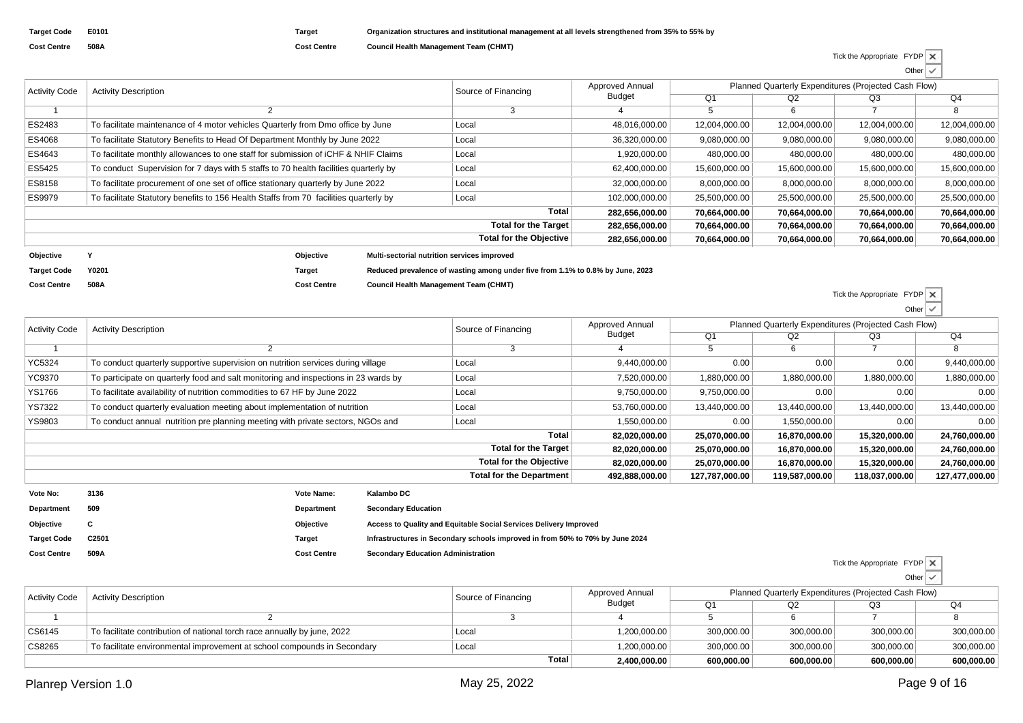| <b>Target Code</b> | E0101 |
|--------------------|-------|
| <b>Cost Centre</b> | 508A  |

**Cost Centre**

**Cost Centre**

Activity Code

**508A**

**Cost Centre Council Health Management Team (CHMT)**

| Tick the Appropriate $FYDP \times$ |              |  |
|------------------------------------|--------------|--|
|                                    | Other $\vee$ |  |

| <b>Activity Code</b> | <b>Activity Description</b>                                                           |           |                                             |                                                                                                                                                                                                                                                                                                                                                                                                                                                                                                                                                                                                                                                                      | Approved Annual | Planned Quarterly Expenditures (Projected Cash Flow) |              |               |               |
|----------------------|---------------------------------------------------------------------------------------|-----------|---------------------------------------------|----------------------------------------------------------------------------------------------------------------------------------------------------------------------------------------------------------------------------------------------------------------------------------------------------------------------------------------------------------------------------------------------------------------------------------------------------------------------------------------------------------------------------------------------------------------------------------------------------------------------------------------------------------------------|-----------------|------------------------------------------------------|--------------|---------------|---------------|
|                      |                                                                                       |           |                                             | Source of Financing<br>Budget<br>O <sub>1</sub><br>Q2<br>6<br>-5<br>48,016,000.00<br>12,004,000.00<br>12,004,000.00<br>Local<br>9,080,000.00<br>9,080,000.00<br>36,320,000.00<br>Local<br>480,000.00<br>1,920,000.00<br>480,000.00<br>Local<br>15,600,000.00<br>62,400,000.00<br>15,600,000.00<br>Local<br>8,000,000.00<br>8,000,000.00<br>32,000,000.00<br>Local<br>102,000,000.00<br>25,500,000.00<br>25,500,000.00<br>Local<br>Total<br>282,656,000.00<br>70,664,000.00<br>70,664,000.00<br><b>Total for the Target</b><br>282.656.000.00<br>70,664,000.00<br>70.664.000.00<br><b>Total for the Objective</b><br>70,664,000.00<br>282,656,000.00<br>70,664,000.00 | Q3              | Q4                                                   |              |               |               |
|                      |                                                                                       |           |                                             |                                                                                                                                                                                                                                                                                                                                                                                                                                                                                                                                                                                                                                                                      |                 |                                                      |              |               | 8             |
| ES2483               | To facilitate maintenance of 4 motor vehicles Quarterly from Dmo office by June       |           |                                             |                                                                                                                                                                                                                                                                                                                                                                                                                                                                                                                                                                                                                                                                      |                 |                                                      |              | 12,004,000.00 | 12,004,000.00 |
| ES4068               | To facilitate Statutory Benefits to Head Of Department Monthly by June 2022           |           |                                             |                                                                                                                                                                                                                                                                                                                                                                                                                                                                                                                                                                                                                                                                      |                 | 9,080,000.00                                         | 9,080,000.00 |               |               |
| ES4643               | To facilitate monthly allowances to one staff for submission of ICHF & NHIF Claims    |           |                                             |                                                                                                                                                                                                                                                                                                                                                                                                                                                                                                                                                                                                                                                                      |                 |                                                      |              | 480,000.00    | 480,000.00    |
| ES5425               | To conduct Supervision for 7 days with 5 staffs to 70 health facilities quarterly by  |           |                                             |                                                                                                                                                                                                                                                                                                                                                                                                                                                                                                                                                                                                                                                                      |                 |                                                      |              | 15,600,000.00 | 15,600,000.00 |
| ES8158               | To facilitate procurement of one set of office stationary quarterly by June 2022      |           |                                             |                                                                                                                                                                                                                                                                                                                                                                                                                                                                                                                                                                                                                                                                      |                 |                                                      |              | 8,000,000.00  | 8,000,000.00  |
| ES9979               | To facilitate Statutory benefits to 156 Health Staffs from 70 facilities quarterly by |           |                                             |                                                                                                                                                                                                                                                                                                                                                                                                                                                                                                                                                                                                                                                                      |                 |                                                      |              | 25,500,000.00 | 25,500,000.00 |
|                      |                                                                                       |           |                                             |                                                                                                                                                                                                                                                                                                                                                                                                                                                                                                                                                                                                                                                                      |                 |                                                      |              | 70,664,000.00 | 70,664,000.00 |
|                      |                                                                                       |           |                                             |                                                                                                                                                                                                                                                                                                                                                                                                                                                                                                                                                                                                                                                                      |                 |                                                      |              | 70,664,000.00 | 70,664,000.00 |
|                      |                                                                                       |           |                                             |                                                                                                                                                                                                                                                                                                                                                                                                                                                                                                                                                                                                                                                                      |                 |                                                      |              | 70,664,000.00 | 70,664,000.00 |
| Objective            |                                                                                       | Objective | Multi-sectorial nutrition services improved |                                                                                                                                                                                                                                                                                                                                                                                                                                                                                                                                                                                                                                                                      |                 |                                                      |              |               |               |
| <b>Target Code</b>   | Y0201                                                                                 | Target    |                                             | Reduced prevalence of wasting among under five from 1.1% to 0.8% by June, 2023                                                                                                                                                                                                                                                                                                                                                                                                                                                                                                                                                                                       |                 |                                                      |              |               |               |

**Cost Centre Council Health Management Team (CHMT)**

|                      |                                                                                     |                                                                           |                            |                                                                               |                 |                                                      |                                | Tick the Appropriate $FYDP \mid X$ |                          |  |
|----------------------|-------------------------------------------------------------------------------------|---------------------------------------------------------------------------|----------------------------|-------------------------------------------------------------------------------|-----------------|------------------------------------------------------|--------------------------------|------------------------------------|--------------------------|--|
|                      |                                                                                     |                                                                           |                            |                                                                               |                 |                                                      |                                |                                    | Other $\vert \checkmark$ |  |
| <b>Activity Code</b> | <b>Activity Description</b>                                                         |                                                                           |                            | Source of Financing                                                           | Approved Annual | Planned Quarterly Expenditures (Projected Cash Flow) |                                |                                    |                          |  |
|                      |                                                                                     |                                                                           |                            |                                                                               | <b>Budget</b>   | Q1                                                   | Q2                             | Q3                                 | Q4                       |  |
|                      | $\overline{2}$                                                                      |                                                                           |                            | 3                                                                             |                 |                                                      | 6                              |                                    |                          |  |
| YC5324               | To conduct quarterly supportive supervision on nutrition services during village    |                                                                           | Local                      | 9,440,000.00                                                                  | 0.00            | 0.00                                                 | 0.00                           | 9,440,000.00                       |                          |  |
| <b>YC9370</b>        | To participate on quarterly food and salt monitoring and inspections in 23 wards by |                                                                           | Local                      | 7,520,000.00                                                                  | 1,880,000.00    | 1,880,000.00                                         | 1,880,000.00                   | 1,880,000.00                       |                          |  |
| <b>YS1766</b>        |                                                                                     | To facilitate availability of nutrition commodities to 67 HF by June 2022 |                            |                                                                               | 9,750,000.00    | 9,750,000.00                                         | 0.00                           | 0.00                               | 0.00                     |  |
| <b>YS7322</b>        | To conduct quarterly evaluation meeting about implementation of nutrition           |                                                                           |                            | Local                                                                         | 53,760,000.00   | 13,440,000.00                                        | 13,440,000.00                  | 13,440,000.00                      | 13,440,000.00            |  |
| YS9803               | To conduct annual nutrition pre planning meeting with private sectors, NGOs and     |                                                                           |                            | Local                                                                         | 1,550,000.00    | 0.00                                                 | 1,550,000.00                   | 0.00                               | 0.00                     |  |
|                      |                                                                                     |                                                                           |                            | Total                                                                         | 82,020,000.00   | 25,070,000.00                                        | 16,870,000.00<br>15,320,000.00 |                                    |                          |  |
|                      |                                                                                     |                                                                           |                            | <b>Total for the Target</b>                                                   | 82,020,000.00   | 25,070,000.00                                        | 16,870,000.00                  | 15,320,000.00                      | 24,760,000.00            |  |
|                      |                                                                                     |                                                                           |                            | <b>Total for the Objective</b>                                                | 82,020,000.00   | 25,070,000.00                                        | 16,870,000.00                  | 15,320,000.00                      | 24,760,000.00            |  |
|                      |                                                                                     |                                                                           |                            | Total for the Department                                                      | 492,888,000.00  | 127,787,000.00                                       | 119,587,000.00                 | 118,037,000.00                     | 127,477,000.00           |  |
| Vote No:             | 3136                                                                                | Vote Name:                                                                | Kalambo DC                 |                                                                               |                 |                                                      |                                |                                    |                          |  |
| Department           | 509                                                                                 | Department                                                                | <b>Secondary Education</b> |                                                                               |                 |                                                      |                                |                                    |                          |  |
| Objective            |                                                                                     | Objective                                                                 |                            | Access to Quality and Equitable Social Services Delivery Improved             |                 |                                                      |                                |                                    |                          |  |
| <b>Target Code</b>   | C2501                                                                               | <b>Target</b>                                                             |                            | Infrastructures in Secondary schools improved in from 50% to 70% by June 2024 |                 |                                                      |                                |                                    |                          |  |

Tick the Appropriate FYDP $Q2$ 2 Q3 Q1Approved Annual BudgetSource of Financing Activity Description **Cost Centre Secondary Education Administration** Planned Quarterly Expenditures (Projected Cash Flow)

| CS6145 | To facilitate contribution of national torch race annually by june, 2022 | Local | 1,200,000.00 | 300.000.00 | 300.000.00 | 300,000.00 | 300,000.00 |
|--------|--------------------------------------------------------------------------|-------|--------------|------------|------------|------------|------------|
| CS8265 | To facilitate environmental improvement at school compounds in Secondary | Local | 1,200,000.00 | 300.000.00 | 300.000.00 | 300.000.00 | 300,000.00 |
|        |                                                                          | Total | 2.400.000.00 | 600.000.00 | 600,000.00 | 600,000.00 | 600,000.00 |

**509A**

 $Q4$ 

Other

 $\checkmark$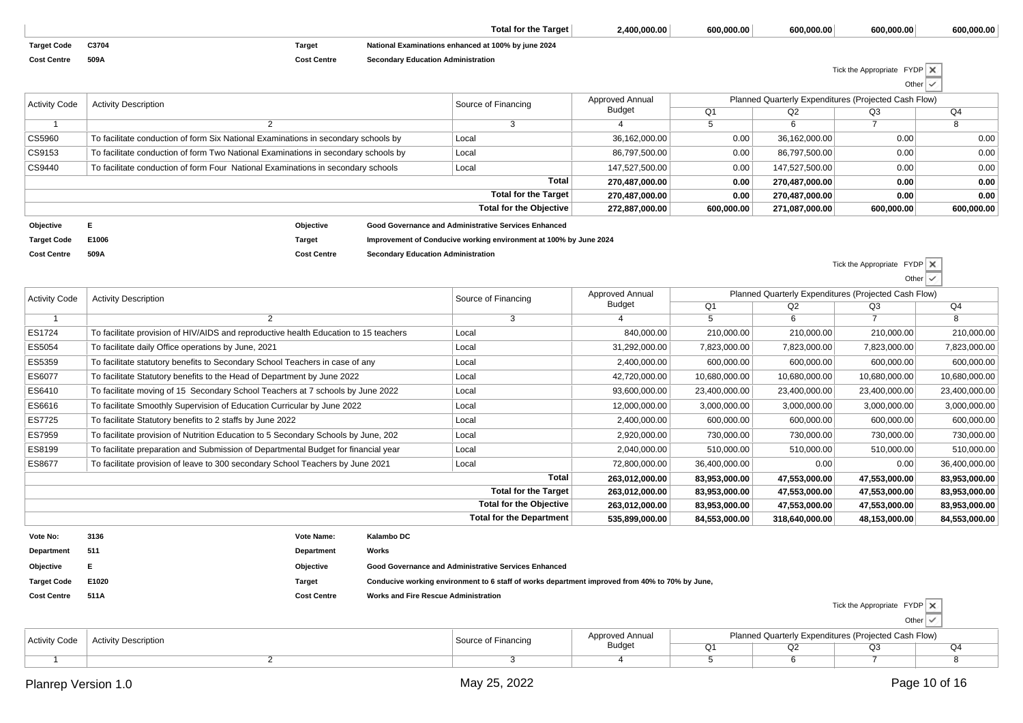|                    |       |                    | Total for the Target                                | 2.400.000.00 | 600.000.00 | 600.000.00 | 600.000.00 | 600.000.00 |
|--------------------|-------|--------------------|-----------------------------------------------------|--------------|------------|------------|------------|------------|
| <b>Target Code</b> | C3704 | Targe.             | National Examinations enhanced at 100% by june 2024 |              |            |            |            |            |
| <b>Cost Centre</b> | 509A  | <b>Cost Centre</b> | <b>Secondary Education Administration</b>           |              |            |            |            |            |

Tick the Appropriate FYDPOther

| <b>Activity Code</b> | <b>Activity Description</b>                                                        |               |  | Source of Financing                                               | Approved Annual | Planned Quarterly Expenditures (Projected Cash Flow) |                |                                                                      |            |  |
|----------------------|------------------------------------------------------------------------------------|---------------|--|-------------------------------------------------------------------|-----------------|------------------------------------------------------|----------------|----------------------------------------------------------------------|------------|--|
|                      |                                                                                    |               |  |                                                                   | Budget          | Q <sub>1</sub>                                       | Q2             | Q <sub>3</sub><br>0.00<br>0.00<br>0.00<br>0.00<br>0.00<br>600,000.00 | Q4         |  |
|                      |                                                                                    |               |  |                                                                   |                 |                                                      |                |                                                                      | 8          |  |
| CS5960               | To facilitate conduction of form Six National Examinations in secondary schools by |               |  | Local                                                             | 36,162,000.00   | 0.00                                                 | 36,162,000.00  |                                                                      | 0.00       |  |
| CS9153               | To facilitate conduction of form Two National Examinations in secondary schools by |               |  | Local                                                             | 86,797,500.00   | 0.00                                                 | 86,797,500.00  |                                                                      | 0.00       |  |
| CS9440               | To facilitate conduction of form Four National Examinations in secondary schools   |               |  | Local                                                             | 147,527,500.00  | 0.00                                                 | 147,527,500.00 |                                                                      | 0.00       |  |
|                      | <b>Total</b>                                                                       |               |  |                                                                   | 270.487.000.00  | 0.00                                                 | 270.487.000.00 |                                                                      | 0.00       |  |
|                      |                                                                                    |               |  | <b>Total for the Target</b>                                       | 270.487.000.00  | 0.00                                                 | 270.487.000.00 |                                                                      | 0.00       |  |
|                      |                                                                                    |               |  | Total for the Objective                                           | 272,887,000.00  | 600,000.00                                           | 271,087,000.00 |                                                                      | 600,000.00 |  |
| Objective            |                                                                                    | Objective     |  | Good Governance and Administrative Services Enhanced              |                 |                                                      |                |                                                                      |            |  |
| <b>Target Code</b>   | E1006                                                                              | <b>Target</b> |  | Improvement of Conducive working environment at 100% by June 2024 |                 |                                                      |                |                                                                      |            |  |

| <b>Cost Centre</b>   | 509A<br><b>Cost Centre</b><br><b>Secondary Education Administration</b>              |                                 |                 |                                                      |                | Tick the Appropriate $FYDP \times$ |                |  |  |
|----------------------|--------------------------------------------------------------------------------------|---------------------------------|-----------------|------------------------------------------------------|----------------|------------------------------------|----------------|--|--|
|                      |                                                                                      |                                 |                 |                                                      |                | Other                              | $\checkmark$   |  |  |
| <b>Activity Code</b> | <b>Activity Description</b>                                                          | Source of Financing             | Approved Annual | Planned Quarterly Expenditures (Projected Cash Flow) |                |                                    |                |  |  |
|                      |                                                                                      |                                 | <b>Budget</b>   | Q <sub>1</sub>                                       | Q <sub>2</sub> | Q3                                 | Q <sub>4</sub> |  |  |
|                      | 2                                                                                    | 3                               |                 | 5                                                    | 6              |                                    | 8              |  |  |
| ES1724               | To facilitate provision of HIV/AIDS and reproductive health Education to 15 teachers | Local                           | 840,000.00      | 210,000.00                                           | 210,000.00     | 210,000.00                         | 210,000.00     |  |  |
| ES5054               | To facilitate daily Office operations by June, 2021                                  | Local                           | 31,292,000.00   | 7,823,000.00                                         | 7,823,000.00   | 7,823,000.00                       | 7,823,000.00   |  |  |
| ES5359               | To facilitate statutory benefits to Secondary School Teachers in case of any         | Local                           | 2,400,000.00    | 600,000.00                                           | 600,000.00     | 600,000.00                         | 600,000.00     |  |  |
| ES6077               | To facilitate Statutory benefits to the Head of Department by June 2022              | Local                           | 42,720,000.00   | 10,680,000.00                                        | 10,680,000.00  | 10,680,000.00                      | 10,680,000.00  |  |  |
| ES6410               | To facilitate moving of 15 Secondary School Teachers at 7 schools by June 2022       | Local                           | 93,600,000.00   | 23,400,000.00                                        | 23,400,000.00  | 23,400,000.00                      | 23,400,000.00  |  |  |
| ES6616               | To facilitate Smoothly Supervision of Education Curricular by June 2022              | Local                           | 12,000,000.00   | 3,000,000.00                                         | 3,000,000.00   | 3,000,000.00                       | 3,000,000.00   |  |  |
| ES7725               | To facilitate Statutory benefits to 2 staffs by June 2022                            | Local                           | 2,400,000.00    | 600,000.00                                           | 600,000.00     | 600,000.00                         | 600,000.00     |  |  |
| ES7959               | To facilitate provision of Nutrition Education to 5 Secondary Schools by June, 202   | Local                           | 2,920,000.00    | 730,000.00                                           | 730,000.00     | 730,000.00                         | 730,000.00     |  |  |
| ES8199               | To facilitate preparation and Submission of Departmental Budget for financial year   | Local                           | 2,040,000.00    | 510,000.00                                           | 510,000.00     | 510,000.00                         | 510,000.00     |  |  |
| ES8677               | To facilitate provision of leave to 300 secondary School Teachers by June 2021       | Local                           | 72,800,000.00   | 36,400,000.00                                        | 0.00           | 0.00                               | 36,400,000.00  |  |  |
|                      |                                                                                      | Total                           | 263,012,000.00  | 83,953,000.00                                        | 47,553,000.00  | 47,553,000.00                      | 83,953,000.00  |  |  |
|                      |                                                                                      | <b>Total for the Target</b>     | 263,012,000.00  | 83,953,000.00                                        | 47,553,000.00  | 47,553,000.00                      | 83,953,000.00  |  |  |
|                      |                                                                                      | <b>Total for the Objective</b>  | 263,012,000.00  | 83,953,000.00                                        | 47,553,000.00  | 47,553,000.00                      | 83,953,000.00  |  |  |
|                      |                                                                                      | <b>Total for the Department</b> | 535.899.000.00  | 84.553.000.00                                        | 318.640.000.00 | 48.153.000.00                      | 84.553.000.00  |  |  |

|                    |       |                    | Total for the Department                                                                       | 535,899,000.00 | 84,553,000.00 | 318,640,000.00 | 48,153,000.00                               | 84,553,000.00 |
|--------------------|-------|--------------------|------------------------------------------------------------------------------------------------|----------------|---------------|----------------|---------------------------------------------|---------------|
| Vote No:           | 3136  | <b>Vote Name:</b>  | Kalambo DC                                                                                     |                |               |                |                                             |               |
| Department         | 511   | Department         | Works                                                                                          |                |               |                |                                             |               |
| Objective          |       | Objective          | Good Governance and Administrative Services Enhanced                                           |                |               |                |                                             |               |
| <b>Target Code</b> | E1020 | Target             | Conducive working environment to 6 staff of works department improved from 40% to 70% by June, |                |               |                |                                             |               |
| <b>Cost Centre</b> | 511A  | <b>Cost Centre</b> | <b>Works and Fire Rescue Administration</b>                                                    |                |               |                | Tick the Appropriate FYDP X<br>Other $\vee$ |               |

| ∴ Activity ∖ | vity Description | Approved Annual | Planned Quarterly Expenditures (Projected Cash Flow) |   |    |  |  |  |
|--------------|------------------|-----------------|------------------------------------------------------|---|----|--|--|--|
|              |                  | <b>Budget</b>   | . .                                                  | ∽ | Q3 |  |  |  |
|              |                  |                 |                                                      |   |    |  |  |  |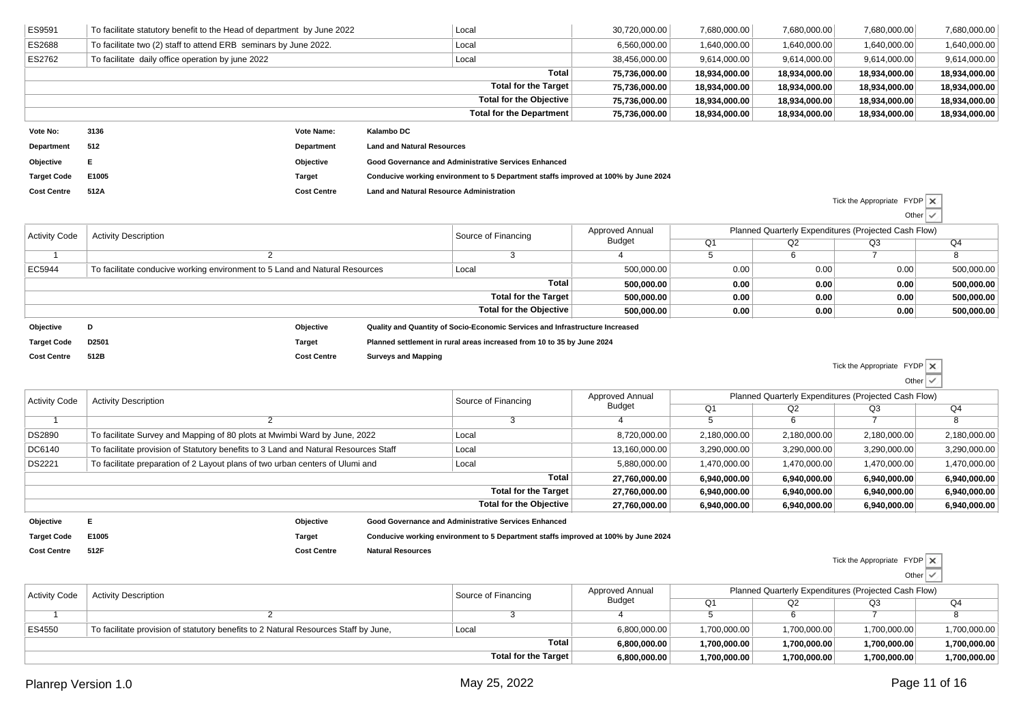| ES9591               | To facilitate statutory benefit to the Head of department by June 2022              |                    |                                                 | Local                                                                              | 30,720,000.00                    | 7,680,000.00         | 7,680,000.00                                                           | 7,680,000.00                       | 7,680,000.00             |
|----------------------|-------------------------------------------------------------------------------------|--------------------|-------------------------------------------------|------------------------------------------------------------------------------------|----------------------------------|----------------------|------------------------------------------------------------------------|------------------------------------|--------------------------|
| ES2688               | To facilitate two (2) staff to attend ERB seminars by June 2022.                    |                    |                                                 | Local                                                                              | 6,560,000.00                     | 1,640,000.00         | 1,640,000.00                                                           | 1,640,000.00                       | 1,640,000.00             |
| ES2762               | To facilitate daily office operation by june 2022                                   |                    |                                                 | Local                                                                              | 38,456,000.00                    | 9,614,000.00         | 9,614,000.00                                                           | 9,614,000.00                       | 9,614,000.00             |
|                      |                                                                                     |                    |                                                 | <b>Total</b>                                                                       | 75,736,000.00                    | 18,934,000.00        | 18,934,000.00                                                          | 18,934,000.00                      | 18,934,000.00            |
|                      |                                                                                     |                    |                                                 | <b>Total for the Target</b>                                                        | 75,736,000.00                    | 18,934,000.00        | 18,934,000.00                                                          | 18,934,000.00                      | 18,934,000.00            |
|                      |                                                                                     |                    |                                                 | <b>Total for the Objective</b>                                                     | 75,736,000.00                    | 18,934,000.00        | 18,934,000.00                                                          | 18,934,000.00                      | 18,934,000.00            |
|                      |                                                                                     |                    |                                                 | <b>Total for the Department</b>                                                    | 75,736,000.00                    | 18,934,000.00        | 18,934,000.00                                                          | 18,934,000.00                      | 18,934,000.00            |
| Vote No:             | 3136                                                                                | Vote Name:         | <b>Kalambo DC</b>                               |                                                                                    |                                  |                      |                                                                        |                                    |                          |
| <b>Department</b>    | 512                                                                                 | Department         | <b>Land and Natural Resources</b>               |                                                                                    |                                  |                      |                                                                        |                                    |                          |
| Objective            | Е                                                                                   | Objective          |                                                 | Good Governance and Administrative Services Enhanced                               |                                  |                      |                                                                        |                                    |                          |
| <b>Target Code</b>   | E1005                                                                               | <b>Target</b>      |                                                 | Conducive working environment to 5 Department staffs improved at 100% by June 2024 |                                  |                      |                                                                        |                                    |                          |
| <b>Cost Centre</b>   | 512A                                                                                | <b>Cost Centre</b> | <b>Land and Natural Resource Administration</b> |                                                                                    |                                  |                      |                                                                        |                                    |                          |
|                      |                                                                                     |                    |                                                 |                                                                                    |                                  |                      |                                                                        | Tick the Appropriate $FYDP \times$ |                          |
|                      |                                                                                     |                    |                                                 |                                                                                    |                                  |                      |                                                                        |                                    | Other $\sqrt{}$          |
| <b>Activity Code</b> | <b>Activity Description</b>                                                         |                    |                                                 | Source of Financing                                                                | Approved Annual<br><b>Budget</b> |                      | Planned Quarterly Expenditures (Projected Cash Flow)                   |                                    |                          |
| $\overline{1}$       | $\overline{2}$                                                                      |                    |                                                 | $\overline{3}$                                                                     | $\overline{4}$                   | Q1<br>$\overline{5}$ | Q2<br>6                                                                | Q3<br>$\overline{7}$               | Q4<br>8                  |
|                      | To facilitate conducive working environment to 5 Land and Natural Resources         |                    |                                                 |                                                                                    |                                  |                      |                                                                        |                                    |                          |
| EC5944               |                                                                                     |                    |                                                 | Local<br>Total                                                                     | 500,000.00                       | 0.00                 | 0.00                                                                   | 0.00                               | 500,000.00               |
|                      |                                                                                     |                    |                                                 | <b>Total for the Target</b>                                                        | 500.000.00<br>500,000.00         | 0.00<br>0.00         | 0.00<br>0.00                                                           | 0.00<br>0.00                       | 500,000.00<br>500,000.00 |
|                      |                                                                                     |                    |                                                 | <b>Total for the Objective</b>                                                     | 500.000.00                       | 0.00                 | 0.00                                                                   | 0.00                               | 500,000.00               |
|                      |                                                                                     |                    |                                                 |                                                                                    |                                  |                      |                                                                        |                                    |                          |
| Objective            | D                                                                                   | Objective          |                                                 | Quality and Quantity of Socio-Economic Services and Infrastructure Increased       |                                  |                      |                                                                        |                                    |                          |
| <b>Target Code</b>   | D2501                                                                               | <b>Target</b>      |                                                 | Planned settlement in rural areas increased from 10 to 35 by June 2024             |                                  |                      |                                                                        |                                    |                          |
| <b>Cost Centre</b>   | 512B                                                                                | <b>Cost Centre</b> | <b>Surveys and Mapping</b>                      |                                                                                    |                                  |                      |                                                                        | Tick the Appropriate               | FYDP X                   |
|                      |                                                                                     |                    |                                                 |                                                                                    |                                  |                      |                                                                        |                                    | Other $\vert \checkmark$ |
|                      |                                                                                     |                    |                                                 |                                                                                    | Approved Annual                  |                      |                                                                        |                                    |                          |
| <b>Activity Code</b> | <b>Activity Description</b>                                                         |                    |                                                 | Source of Financing                                                                | Budget                           | Q1                   | Planned Quarterly Expenditures (Projected Cash Flow)<br>Q2<br>Q3<br>Q4 |                                    |                          |
| $\overline{1}$       | 2                                                                                   |                    |                                                 | 3                                                                                  | Δ                                | $\overline{5}$       | 6                                                                      | $\overline{7}$                     | 8                        |
| <b>DS2890</b>        | To facilitate Survey and Mapping of 80 plots at Mwimbi Ward by June, 2022           |                    |                                                 | Local                                                                              | 8,720,000.00                     | 2,180,000.00         | 2,180,000.00                                                           | 2,180,000.00                       | 2,180,000.00             |
| DC6140               | To facilitate provision of Statutory benefits to 3 Land and Natural Resources Staff |                    |                                                 | Local                                                                              | 13,160,000.00                    | 3,290,000.00         | 3,290,000.00                                                           | 3,290,000.00                       | 3,290,000.00             |

| DS2221    | To facilitate preparation of 2 Layout plans of two urban centers of Ulumi and | Local                                                | 5,880,000.00  | 1,470,000.00 | ,470,000.00  | 1,470,000.00 | 1,470,000.00 |
|-----------|-------------------------------------------------------------------------------|------------------------------------------------------|---------------|--------------|--------------|--------------|--------------|
|           |                                                                               | Total                                                | 27.760.000.00 | 6.940.000.00 | 6.940.000.00 | 6.940.000.00 | 6,940,000.00 |
|           |                                                                               | Total for the Target                                 | 27.760.000.00 | 6.940.000.00 | 6.940.000.00 | 6.940.000.00 | 6,940,000.00 |
|           |                                                                               | Total for the Objective                              | 27.760.000.00 | 6,940,000.00 | 6,940,000.00 | 6,940,000.00 | 6,940,000.00 |
| Objective | Objective                                                                     | Good Governance and Administrative Services Enhanced |               |              |              |              |              |

| Obiective          |       | Objective          | <b>Good Governance and Administrative Services Enhanced</b>                        |
|--------------------|-------|--------------------|------------------------------------------------------------------------------------|
| <b>Target Code</b> | E1005 | Target             | Conducive working environment to 5 Department staffs improved at 100% by June 2024 |
| <b>Cost Centre</b> | 512F  | <b>Cost Centre</b> | <b>Natural Resources</b>                                                           |

Tick the Appropriate FYDPOther

| <b>Activity Code</b> | <b>Activity Description</b>                                                         | Source of Financing   | Approved Annual | Planned Quarterly Expenditures (Projected Cash Flow) |              |              |              |  |
|----------------------|-------------------------------------------------------------------------------------|-----------------------|-----------------|------------------------------------------------------|--------------|--------------|--------------|--|
|                      |                                                                                     |                       | Budget          | Ο1                                                   | Q2           | Q3           | Q4           |  |
|                      |                                                                                     |                       |                 |                                                      |              |              |              |  |
| ES4550               | To facilitate provision of statutory benefits to 2 Natural Resources Staff by June. | Loca                  | 6,800,000.00    | 1,700,000.00                                         | 1,700,000.00 | 1,700,000.00 | 1,700,000.00 |  |
|                      |                                                                                     | Total<br>6.800.000.00 | 1.700.000.00    | 1.700.000.00                                         | 1,700,000.00 | 1,700,000.00 |              |  |
|                      |                                                                                     | Total for the Target  | 6,800,000.00    | ,700,000.00                                          | 1.700.000.00 | 1,700,000.00 | 1,700,000.00 |  |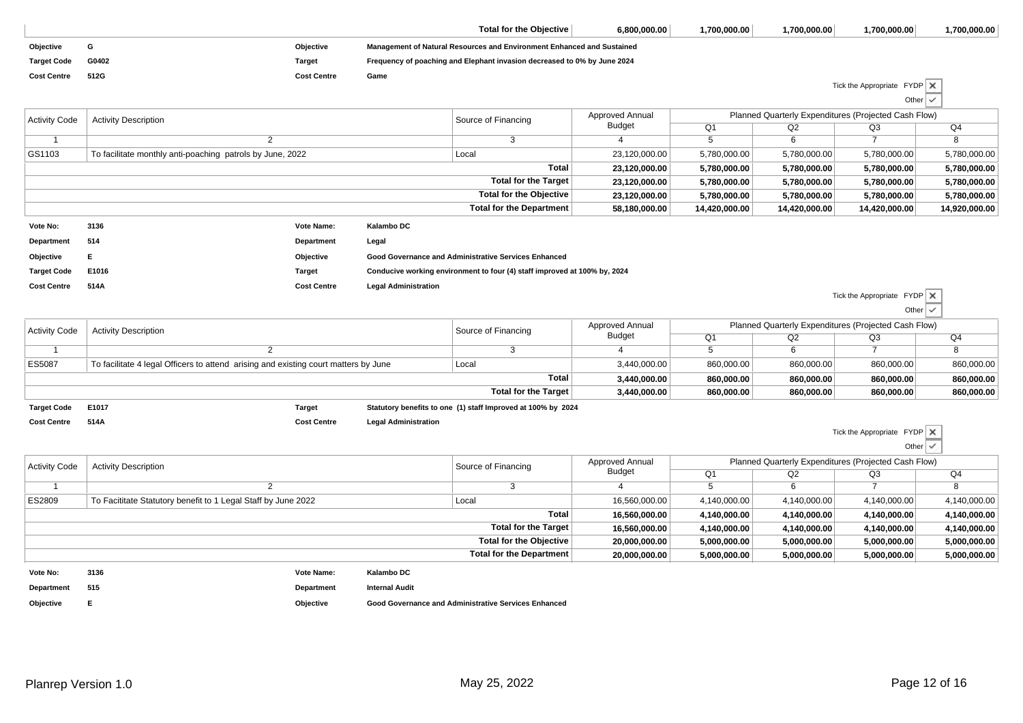|                      |                                                                                     |                    |                             | <b>Total for the Objective</b>                                            | 6,800,000.00    | 1,700,000.00   | 1,700,000.00                                         | 1,700,000.00                | 1,700,000.00   |
|----------------------|-------------------------------------------------------------------------------------|--------------------|-----------------------------|---------------------------------------------------------------------------|-----------------|----------------|------------------------------------------------------|-----------------------------|----------------|
| Objective            | G                                                                                   | Objective          |                             | Management of Natural Resources and Environment Enhanced and Sustained    |                 |                |                                                      |                             |                |
| <b>Target Code</b>   | G0402                                                                               | <b>Target</b>      |                             | Frequency of poaching and Elephant invasion decreased to 0% by June 2024  |                 |                |                                                      |                             |                |
| <b>Cost Centre</b>   | 512G                                                                                | <b>Cost Centre</b> | Game                        |                                                                           |                 |                |                                                      |                             |                |
|                      |                                                                                     |                    |                             |                                                                           |                 |                |                                                      | Tick the Appropriate FYDP X |                |
|                      |                                                                                     |                    |                             |                                                                           |                 |                |                                                      | Other $\vee$                |                |
| <b>Activity Code</b> | <b>Activity Description</b>                                                         |                    |                             | Source of Financing                                                       | Approved Annual |                | Planned Quarterly Expenditures (Projected Cash Flow) |                             |                |
|                      |                                                                                     |                    |                             |                                                                           | <b>Budget</b>   | Q1             | Q2                                                   | Q3                          | Q4             |
| -1                   | $\overline{2}$                                                                      |                    |                             | 3                                                                         | 4               | $\overline{5}$ | 6                                                    | $\overline{7}$              | $\overline{8}$ |
| GS1103               | To facilitate monthly anti-poaching patrols by June, 2022                           |                    |                             | Local                                                                     | 23,120,000.00   | 5,780,000.00   | 5,780,000.00                                         | 5,780,000.00                | 5,780,000.00   |
|                      |                                                                                     |                    |                             | <b>Total</b>                                                              | 23,120,000.00   | 5,780,000.00   | 5,780,000.00                                         | 5,780,000.00                | 5,780,000.00   |
|                      |                                                                                     |                    |                             | <b>Total for the Target</b>                                               | 23,120,000.00   | 5,780,000.00   | 5,780,000.00                                         | 5,780,000.00                | 5,780,000.00   |
|                      |                                                                                     |                    |                             | <b>Total for the Objective</b>                                            | 23,120,000.00   | 5,780,000.00   | 5,780,000.00                                         | 5,780,000.00                | 5,780,000.00   |
|                      |                                                                                     |                    |                             | <b>Total for the Department</b>                                           | 58,180,000.00   | 14,420,000.00  | 14,420,000.00                                        | 14,420,000.00               | 14,920,000.00  |
| Vote No:             | 3136                                                                                | Vote Name:         | Kalambo DC                  |                                                                           |                 |                |                                                      |                             |                |
| Department           | 514                                                                                 | <b>Department</b>  | Legal                       |                                                                           |                 |                |                                                      |                             |                |
| Objective            | Е                                                                                   | Objective          |                             | Good Governance and Administrative Services Enhanced                      |                 |                |                                                      |                             |                |
| <b>Target Code</b>   | E1016                                                                               | <b>Target</b>      |                             | Conducive working environment to four (4) staff improved at 100% by, 2024 |                 |                |                                                      |                             |                |
| <b>Cost Centre</b>   | 514A                                                                                | <b>Cost Centre</b> | <b>Legal Administration</b> |                                                                           |                 |                |                                                      |                             |                |
|                      |                                                                                     |                    |                             |                                                                           |                 |                |                                                      | Tick the Appropriate FYDP X |                |
|                      |                                                                                     |                    |                             |                                                                           |                 |                |                                                      | Other $\vert \checkmark$    |                |
| <b>Activity Code</b> | <b>Activity Description</b>                                                         |                    |                             | Source of Financing                                                       | Approved Annual |                | Planned Quarterly Expenditures (Projected Cash Flow) |                             |                |
|                      |                                                                                     |                    |                             |                                                                           | <b>Budget</b>   | Q1             | Q2                                                   | Q3                          | Q4             |
| -1                   | $\overline{2}$                                                                      |                    |                             | 3                                                                         | $\overline{4}$  | $\overline{5}$ | 6                                                    | $\overline{7}$              | $\overline{8}$ |
| ES5087               | To facilitate 4 legal Officers to attend arising and existing court matters by June |                    |                             | Local                                                                     | 3,440,000.00    | 860,000.00     | 860,000.00                                           | 860,000.00                  | 860,000.00     |
|                      |                                                                                     |                    |                             | <b>Total</b>                                                              | 3,440,000.00    | 860.000.00     | 860,000.00                                           | 860,000.00                  | 860,000.00     |
|                      |                                                                                     |                    |                             | <b>Total for the Target</b>                                               | 3,440,000.00    | 860,000.00     | 860,000.00                                           | 860,000.00                  | 860,000.00     |
| <b>Target Code</b>   | E1017                                                                               | <b>Target</b>      |                             | Statutory benefits to one (1) staff Improved at 100% by 2024              |                 |                |                                                      |                             |                |
| <b>Cost Centre</b>   | 514A                                                                                | <b>Cost Centre</b> | <b>Legal Administration</b> |                                                                           |                 |                |                                                      |                             |                |
|                      |                                                                                     |                    |                             |                                                                           |                 |                |                                                      | Tick the Appropriate FYDP X |                |
|                      |                                                                                     |                    |                             |                                                                           |                 |                |                                                      | Other                       | $\checkmark$   |
| <b>Activity Code</b> | <b>Activity Description</b>                                                         |                    |                             | Source of Financing                                                       | Approved Annual |                | Planned Quarterly Expenditures (Projected Cash Flow) |                             |                |
|                      |                                                                                     |                    |                             |                                                                           | <b>Budget</b>   | $\Omega$ 1     | O2                                                   | O <sub>3</sub>              | $\Omega$       |

| Activity Code | <b>Activity Description</b>                                   | Source of Financing      | Apploved Allitudi | i lalilleu Quartelly Experiultures (1 lujecteu Casil i luw) |                |              |              |
|---------------|---------------------------------------------------------------|--------------------------|-------------------|-------------------------------------------------------------|----------------|--------------|--------------|
|               |                                                               |                          | <b>Budget</b>     | Ο1                                                          | Q <sub>2</sub> | Q3           | Q4           |
|               |                                                               |                          |                   |                                                             |                |              |              |
| <b>ES2809</b> | To Facititate Statutory benefit to 1 Legal Staff by June 2022 | Loca                     | 16,560,000.00     | 4,140,000.00                                                | 4,140,000.00   | 4,140,000.00 | 4,140,000.00 |
|               |                                                               | Total                    | 16.560.000.00     | 4.140.000.00                                                | 4.140.000.00   | 4,140,000.00 | 4,140,000.00 |
|               |                                                               | Total for the Target     | 16,560,000.00     | 4.140.000.00                                                | 4.140.000.00   | 4,140,000.00 | 4,140,000.00 |
|               | Total for the Objective                                       |                          | 20,000,000.00     | 5.000.000.00                                                | 5.000.000.00   | 5,000,000.00 | 5,000,000.00 |
|               |                                                               | Total for the Department | 20,000,000.00     | 5,000,000.00                                                | 5,000,000.00   | 5,000,000.00 | 5,000,000.00 |
|               |                                                               |                          |                   |                                                             |                |              |              |

**Department515**

**Vote No:**

**Department**

**Internal Audit**

**Kalambo DC**

**Objective <sup>E</sup>**

**Vote Name:**

**Objective Good Governance and Administrative Services Enhanced**

**<sup>3136</sup>**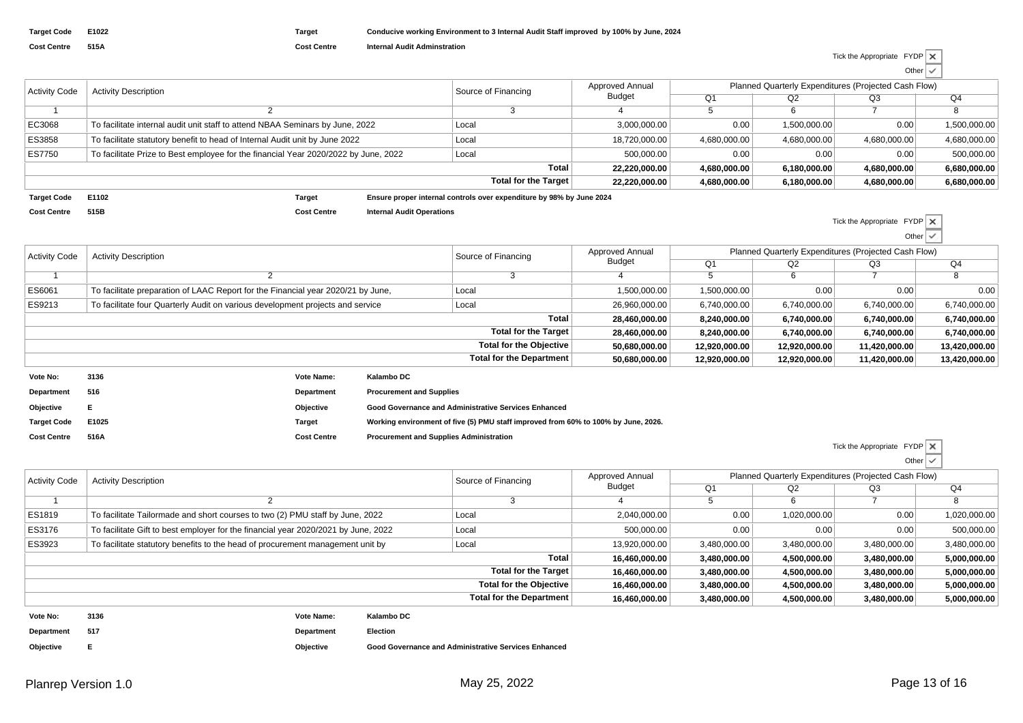| <b>Target Code</b> | E1022 |
|--------------------|-------|
| <b>Cost Centre</b> | 515A  |

**Cost Centre Internal Audit Adminstration**

| Tick the Appropriate $FYDP \times$ |                          |  |
|------------------------------------|--------------------------|--|
|                                    | Other $\vert \checkmark$ |  |

| <b>Activity Code</b> | <b>Activity Description</b>                                                         | Source of Financing  | Approved Annual<br><b>Budget</b> | Planned Quarterly Expenditures (Projected Cash Flow) |              |              |              |
|----------------------|-------------------------------------------------------------------------------------|----------------------|----------------------------------|------------------------------------------------------|--------------|--------------|--------------|
|                      |                                                                                     |                      |                                  | Q1                                                   | Q2           | Q3           | Q4           |
|                      |                                                                                     |                      |                                  |                                                      |              |              |              |
| EC3068               | To facilitate internal audit unit staff to attend NBAA Seminars by June, 2022       | Local                | 3,000,000.00                     | 0.00                                                 | 1.500.000.00 | 0.00         | 1,500,000.00 |
| ES3858               | To facilitate statutory benefit to head of Internal Audit unit by June 2022         | Local                | 18,720,000.00                    | 4.680.000.00                                         | 4.680.000.00 | 4.680.000.00 | 4,680,000.00 |
| ES7750               | To facilitate Prize to Best employee for the financial Year 2020/2022 by June, 2022 | Local                | 500.000.00                       | 0.00                                                 | 0.00         | 0.00         | 500.000.00   |
|                      |                                                                                     | 22.220.000.00        | 4.680.000.00                     | 6.180.000.00                                         | 4.680.000.00 | 6,680,000.00 |              |
|                      |                                                                                     | Total for the Target | 22,220,000.00                    | 4,680,000.00                                         | 6,180,000.00 | 4,680,000.00 | 6,680,000.00 |

**Target Code E1102 Target Ensure proper internal controls over expenditure by 98% by June 2024 Cost Centre515B**

**Cost Centre Internal Audit Operations**

Tick the Appropriate FYDP Other□

| <b>Activity Code</b> | <b>Activity Description</b>                                                      |            |                                 | Source of Financing            | <b>Approved Annual</b> |                |               | Planned Quarterly Expenditures (Projected Cash Flow) |               |
|----------------------|----------------------------------------------------------------------------------|------------|---------------------------------|--------------------------------|------------------------|----------------|---------------|------------------------------------------------------|---------------|
|                      |                                                                                  |            |                                 |                                | Budget                 | Q <sub>1</sub> | Q2            | Q3                                                   | Q4            |
|                      |                                                                                  |            |                                 |                                |                        |                | 6             |                                                      |               |
| ES6061               | To facilitate preparation of LAAC Report for the Financial year 2020/21 by June, |            |                                 | Local                          | 1,500,000.00           | 1,500,000.00   | 0.00          | 0.00                                                 | 0.00          |
| ES9213               | To facilitate four Quarterly Audit on various development projects and service   |            |                                 | Local                          | 26,960,000.00          | 6,740,000.00   | 6,740,000.00  | 6,740,000.00                                         | 6,740,000.00  |
|                      |                                                                                  |            |                                 |                                | Total<br>28,460,000.00 | 8,240,000.00   | 6,740,000.00  | 6,740,000.00                                         | 6,740,000.00  |
|                      |                                                                                  |            |                                 | <b>Total for the Target</b>    | 28,460,000.00          | 8,240,000.00   | 6,740,000.00  | 6,740,000.00                                         | 6,740,000.00  |
|                      |                                                                                  |            |                                 | <b>Total for the Objective</b> | 50,680,000.00          | 12,920,000.00  | 12,920,000.00 | 11,420,000.00                                        | 13,420,000.00 |
|                      |                                                                                  |            |                                 | Total for the Department       | 50,680,000.00          | 12,920,000.00  | 12,920,000.00 | 11,420,000.00                                        | 13,420,000.00 |
| Vote No:             | 3136                                                                             | Vote Name: | Kalambo DC                      |                                |                        |                |               |                                                      |               |
| Department           | 516                                                                              | Department | <b>Procurement and Supplies</b> |                                |                        |                |               |                                                      |               |
|                      |                                                                                  |            |                                 |                                |                        |                |               |                                                      |               |

| Obiective | Obiective | <b>Good Governance and Administrative Services Enhanced</b> |
|-----------|-----------|-------------------------------------------------------------|
|           |           |                                                             |

**Target CodeE1025 Target Working environment of five (5) PMU staff improved from 60% to 100% by June, 2026.**

 **516ACost Centre Procurement and Supplies Administration**

Tick the Appropriate FYDP Other $\checkmark$ 

| <b>Activity Code</b> | <b>Activity Description</b>                                                        |            |            | Source of Financing             | Approved Annual | Planned Quarterly Expenditures (Projected Cash Flow) |              |              |              |
|----------------------|------------------------------------------------------------------------------------|------------|------------|---------------------------------|-----------------|------------------------------------------------------|--------------|--------------|--------------|
|                      |                                                                                    |            |            | Budget                          | Q <sub>1</sub>  | Q2                                                   | Q3           | Q4           |              |
|                      |                                                                                    |            |            |                                 |                 |                                                      |              |              | -8           |
| <b>ES1819</b>        | To facilitate Tailormade and short courses to two (2) PMU staff by June, 2022      |            |            | Local                           | 2,040,000.00    | 0.00                                                 | 1,020,000.00 | 0.00         | 1,020,000.00 |
| ES3176               | To facilitate Gift to best employer for the financial year 2020/2021 by June, 2022 |            |            | Local                           | 500,000.00      | 0.00                                                 | 0.00         | 0.00         | 500,000.00   |
| ES3923               | To facilitate statutory benefits to the head of procurement management unit by     |            |            | Local                           | 13,920,000.00   | 3,480,000.00                                         | 3,480,000.00 | 3,480,000.00 | 3,480,000.00 |
|                      |                                                                                    |            |            | Total                           | 16,460,000.00   | 3,480,000.00                                         | 4,500,000.00 | 3,480,000.00 | 5,000,000.00 |
|                      |                                                                                    |            |            | <b>Total for the Target</b>     | 16,460,000.00   | 3,480,000.00                                         | 4,500,000.00 | 3,480,000.00 | 5,000,000.00 |
|                      |                                                                                    |            |            | <b>Total for the Objective</b>  | 16,460,000.00   | 3,480,000.00                                         | 4,500,000.00 | 3,480,000.00 | 5,000,000.00 |
|                      |                                                                                    |            |            | <b>Total for the Department</b> | 16,460,000.00   | 3,480,000.00                                         | 4,500,000.00 | 3,480,000.00 | 5,000,000.00 |
| Vote No:             | 3136                                                                               | Vote Name: | Kalambo DC |                                 |                 |                                                      |              |              |              |
| Department           | 517                                                                                | Department | Election   |                                 |                 |                                                      |              |              |              |

**Objective<sup>E</sup>**

**Cost Centre**

**Objective Good Governance and Administrative Services Enhanced**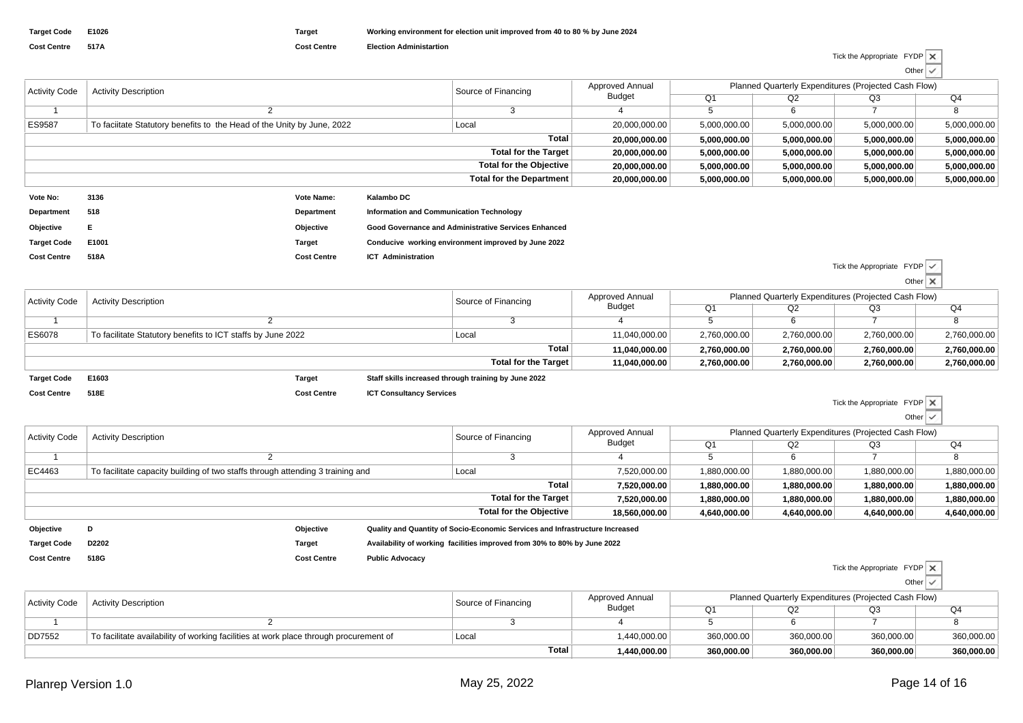| Tick the Appropriate $FYDP \times$ |                          |  |
|------------------------------------|--------------------------|--|
|                                    | Other $\vert \vee \vert$ |  |

|                                 |                                                                        |                    |                                          |                                                      |                 |              |                                                      |                           | __           |
|---------------------------------|------------------------------------------------------------------------|--------------------|------------------------------------------|------------------------------------------------------|-----------------|--------------|------------------------------------------------------|---------------------------|--------------|
| <b>Activity Code</b>            | <b>Activity Description</b>                                            |                    |                                          | Source of Financing                                  | Approved Annual |              | Planned Quarterly Expenditures (Projected Cash Flow) |                           |              |
|                                 |                                                                        |                    |                                          | <b>Budget</b>                                        | Q1              | Q2           | Q3                                                   | Q4                        |              |
|                                 |                                                                        |                    |                                          | 3                                                    |                 |              | 6                                                    |                           |              |
| <b>ES9587</b>                   | To faciltate Statutory benefits to the Head of the Unity by June, 2022 |                    |                                          | Local                                                | 20,000,000.00   | 5,000,000.00 | 5,000,000.00                                         | 5,000,000.00              | 5,000,000.00 |
|                                 | Total                                                                  |                    |                                          |                                                      |                 | 5,000,000.00 | 5,000,000.00                                         | 5,000,000.00              | 5,000,000.00 |
| <b>Total for the Target</b>     |                                                                        |                    |                                          |                                                      |                 | 5,000,000.00 | 5,000,000.00                                         | 5,000,000.00              | 5,000,000.00 |
| <b>Total for the Objective</b>  |                                                                        |                    |                                          |                                                      | 20,000,000.00   | 5,000,000.00 | 5,000,000.00                                         | 5,000,000.00              | 5,000,000.00 |
| <b>Total for the Department</b> |                                                                        |                    | 20,000,000.00                            | 5,000,000.00                                         | 5,000,000.00    | 5,000,000.00 | 5,000,000.00                                         |                           |              |
| Vote No:                        | 3136                                                                   | Vote Name:         | Kalambo DC                               |                                                      |                 |              |                                                      |                           |              |
| Department                      | 518                                                                    | Department         | Information and Communication Technology |                                                      |                 |              |                                                      |                           |              |
| Objective                       |                                                                        | Objective          |                                          | Good Governance and Administrative Services Enhanced |                 |              |                                                      |                           |              |
| <b>Target Code</b>              | E1001                                                                  | Target             |                                          | Conducive working environment improved by June 2022  |                 |              |                                                      |                           |              |
| <b>Cost Centre</b>              | 518A                                                                   | <b>Cost Centre</b> | <b>ICT Administration</b>                |                                                      |                 |              |                                                      |                           |              |
|                                 |                                                                        |                    |                                          |                                                      |                 |              |                                                      | Tiek the Appropriate EVDD |              |

|                      |                                                             |        |  |                                                      |                                  |                                                      |              | Tick the Appropriate $FYDP \, \, \checkmark$ |              |  |
|----------------------|-------------------------------------------------------------|--------|--|------------------------------------------------------|----------------------------------|------------------------------------------------------|--------------|----------------------------------------------|--------------|--|
|                      |                                                             |        |  |                                                      |                                  |                                                      |              |                                              | Other X      |  |
| <b>Activity Code</b> | <b>Activity Description</b>                                 |        |  | Source of Financing                                  | <b>Approved Annual</b><br>Budget | Planned Quarterly Expenditures (Projected Cash Flow) |              |                                              |              |  |
|                      |                                                             |        |  |                                                      |                                  | Q1                                                   | Q2           | Q3                                           | Q4           |  |
|                      |                                                             |        |  |                                                      |                                  |                                                      | 6            |                                              |              |  |
| <b>ES6078</b>        | To facilitate Statutory benefits to ICT staffs by June 2022 |        |  | Local                                                | 11,040,000.00                    | 2,760,000.00                                         | 2,760,000.00 | 2,760,000.00                                 | 2,760,000.00 |  |
| Total                |                                                             |        |  |                                                      | 11,040,000.00                    | 2,760,000.00                                         | 2,760,000.00 | 2,760,000.00                                 | 2,760,000.00 |  |
|                      |                                                             |        |  | <b>Total for the Target</b>                          | 11,040,000.00                    | 2,760,000.00                                         | 2,760,000.00 | 2,760,000.00                                 | 2,760,000.00 |  |
| <b>Target Code</b>   | E1603                                                       | Target |  | Staff skills increased through training by June 2022 |                                  |                                                      |              |                                              |              |  |

| <b>Cost Centre</b> | 518E |
|--------------------|------|
|                    |      |

**Cost Centre ICT Consultancy Services**

**Cost Centre Election Administartion**

| Tick the Appropriate $FYDP$ $\times$ |  |
|--------------------------------------|--|
|                                      |  |

Tick the Appropriate FYDP

| Other |  |
|-------|--|

| <b>Activity Code</b> | <b>Activity Description</b>                                                    |                    | Source of Financing                                                      | Approved Annual                                                              | Planned Quarterly Expenditures (Projected Cash Flow) |              |                |              |              |  |
|----------------------|--------------------------------------------------------------------------------|--------------------|--------------------------------------------------------------------------|------------------------------------------------------------------------------|------------------------------------------------------|--------------|----------------|--------------|--------------|--|
|                      |                                                                                |                    |                                                                          |                                                                              | Budget                                               | Q1           | Q <sub>2</sub> | Q3           | Q4           |  |
|                      | ▵                                                                              |                    |                                                                          |                                                                              | ಿ                                                    |              |                |              |              |  |
| EC4463               | To facilitate capacity building of two staffs through attending 3 training and |                    |                                                                          | Local                                                                        | 7,520,000.00                                         | 1,880,000.00 | 1,880,000.00   | 1,880,000.00 | 1,880,000.00 |  |
|                      |                                                                                | 7,520,000.00       | 1,880,000.00                                                             | 1,880,000.00                                                                 | 1,880,000.00                                         | 1,880,000.00 |                |              |              |  |
| Total for the Target |                                                                                |                    |                                                                          |                                                                              | 7,520,000.00                                         | 1,880,000.00 | 1,880,000.00   | 1,880,000.00 | 1,880,000.00 |  |
|                      | Total for the Objective                                                        |                    |                                                                          | 18,560,000.00                                                                | 4,640,000.00                                         | 4,640,000.00 | 4,640,000.00   | 4,640,000.00 |              |  |
| Objective            | D                                                                              | Objective          |                                                                          | Quality and Quantity of Socio-Economic Services and Infrastructure Increased |                                                      |              |                |              |              |  |
| <b>Target Code</b>   | D2202                                                                          | Target             | Availability of working facilities improved from 30% to 80% by June 2022 |                                                                              |                                                      |              |                |              |              |  |
| <b>Cost Centre</b>   | 518G                                                                           | <b>Cost Centre</b> | <b>Public Advocacy</b>                                                   |                                                                              |                                                      |              |                |              |              |  |

|                      |                                                                                       |                     |                        |                                                      |            | Other      |            |  |
|----------------------|---------------------------------------------------------------------------------------|---------------------|------------------------|------------------------------------------------------|------------|------------|------------|--|
| <b>Activity Code</b> | <b>Activity Description</b>                                                           | Source of Financing | <b>Approved Annual</b> | Planned Quarterly Expenditures (Projected Cash Flow) |            |            |            |  |
|                      |                                                                                       |                     | Budget                 | O1                                                   | Q2         | Q3         | Q4         |  |
|                      |                                                                                       |                     |                        |                                                      |            |            |            |  |
| DD7552               | To facilitate availability of working facilities at work place through procurement of | Local               | 1,440,000.00           | 360,000.00                                           | 360,000.00 | 360,000.00 | 360,000.00 |  |
|                      |                                                                                       | <b>Total</b>        | 1,440,000.00           | 360,000.00                                           | 360,000.00 | 360,000.00 | 360,000.00 |  |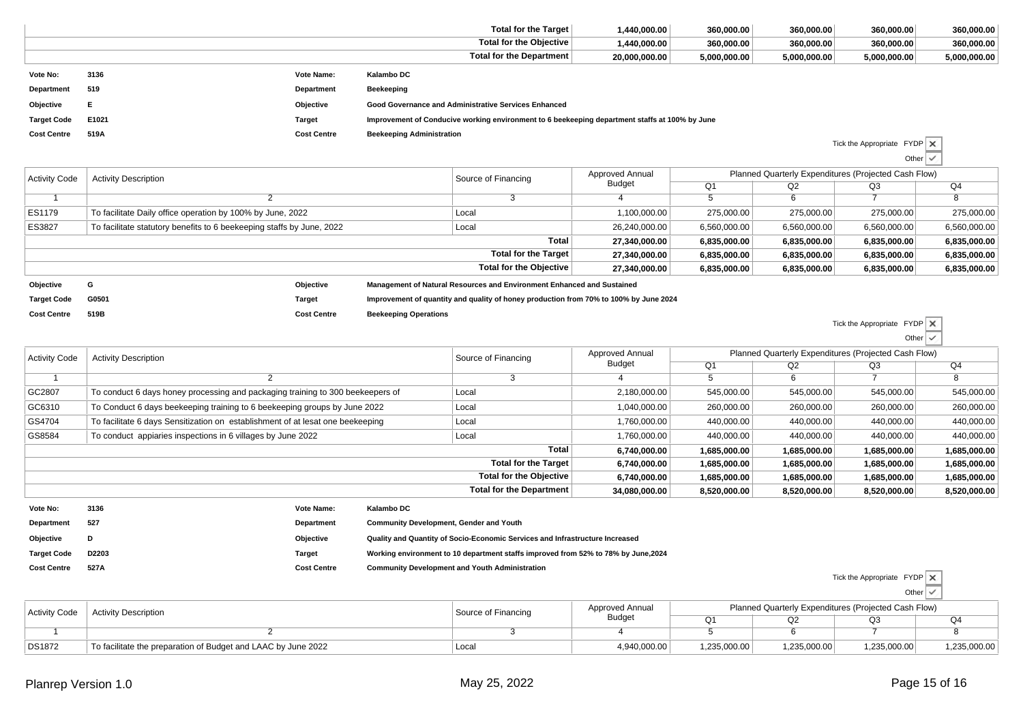|                      |                                                                       |                    |                                  | <b>Total for the Target</b>                                                                    | 1,440,000.00    | 360,000.00     | 360,000.00   | 360,000.00                                           | 360,000.00               |  |  |  |
|----------------------|-----------------------------------------------------------------------|--------------------|----------------------------------|------------------------------------------------------------------------------------------------|-----------------|----------------|--------------|------------------------------------------------------|--------------------------|--|--|--|
|                      |                                                                       |                    |                                  | <b>Total for the Objective</b>                                                                 | 1,440,000.00    | 360,000.00     | 360,000.00   | 360,000.00                                           | 360,000.00               |  |  |  |
|                      |                                                                       |                    |                                  | <b>Total for the Department</b>                                                                | 20,000,000.00   | 5,000,000.00   | 5,000,000.00 | 5,000,000.00                                         | 5,000,000.00             |  |  |  |
| Vote No:             | 3136                                                                  | Vote Name:         | Kalambo DC                       |                                                                                                |                 |                |              |                                                      |                          |  |  |  |
| Department           | 519                                                                   | Department         | Beekeeping                       |                                                                                                |                 |                |              |                                                      |                          |  |  |  |
| Objective            |                                                                       | Objective          |                                  | Good Governance and Administrative Services Enhanced                                           |                 |                |              |                                                      |                          |  |  |  |
| <b>Target Code</b>   | E1021                                                                 | Target             |                                  | Improvement of Conducive working environment to 6 beekeeping department staffs at 100% by June |                 |                |              |                                                      |                          |  |  |  |
| <b>Cost Centre</b>   | 519A                                                                  | <b>Cost Centre</b> | <b>Beekeeping Administration</b> |                                                                                                |                 |                |              |                                                      |                          |  |  |  |
|                      |                                                                       |                    |                                  |                                                                                                |                 |                |              | Tick the Appropriate $FYDP \times$                   |                          |  |  |  |
|                      |                                                                       |                    |                                  |                                                                                                |                 |                |              |                                                      | Other $\vert \checkmark$ |  |  |  |
| <b>Activity Code</b> | <b>Activity Description</b>                                           |                    |                                  | Source of Financing                                                                            | Approved Annual |                |              | Planned Quarterly Expenditures (Projected Cash Flow) |                          |  |  |  |
|                      |                                                                       |                    |                                  |                                                                                                | <b>Budget</b>   | Q <sub>1</sub> | Q2           | Q3                                                   | Q4                       |  |  |  |
|                      | 2                                                                     |                    |                                  | 3                                                                                              |                 | 5              | 6            |                                                      | 8                        |  |  |  |
| ES1179               | To facilitate Daily office operation by 100% by June, 2022            |                    |                                  | Local                                                                                          | 1,100,000.00    | 275,000.00     | 275,000.00   | 275,000.00                                           | 275,000.00               |  |  |  |
| ES3827               | To facilitate statutory benefits to 6 beekeeping staffs by June, 2022 |                    |                                  | Local                                                                                          | 26,240,000.00   | 6,560,000.00   | 6,560,000.00 | 6,560,000.00                                         | 6,560,000.00             |  |  |  |
|                      |                                                                       |                    |                                  | Total                                                                                          | 27,340,000.00   | 6,835,000.00   | 6,835,000.00 | 6,835,000.00                                         | 6,835,000.00             |  |  |  |
|                      |                                                                       |                    |                                  | <b>Total for the Target</b>                                                                    | 27,340,000.00   | 6,835,000.00   | 6,835,000.00 | 6,835,000.00                                         | 6,835,000.00             |  |  |  |
|                      |                                                                       |                    |                                  | <b>Total for the Objective</b>                                                                 | 27,340,000.00   | 6,835,000.00   | 6,835,000.00 | 6,835,000.00                                         | 6,835,000.00             |  |  |  |

**Objective <sup>G</sup> Objective Management of Natural Resources and Environment Enhanced and Sustained Target Code G0501 Target Improvement of quantity and quality of honey production from 70% to 100% by June 2024 Cost Centre 519BCost Centre Beekeeping Operations**

Tick the Appropriate FYDPOther $\checkmark$ 

Tick the Appropriate FYDP

| <b>Activity Code</b> | <b>Activity Description</b>                                                    | Source of Financing                            | Approved Annual |              | Planned Quarterly Expenditures (Projected Cash Flow) |              |                |  |  |
|----------------------|--------------------------------------------------------------------------------|------------------------------------------------|-----------------|--------------|------------------------------------------------------|--------------|----------------|--|--|
|                      |                                                                                |                                                | <b>Budget</b>   | Q1           | Q2                                                   | Q3           | Q <sub>4</sub> |  |  |
|                      |                                                                                |                                                |                 |              | 6                                                    |              | -8             |  |  |
| GC2807               | To conduct 6 days honey processing and packaging training to 300 beekeepers of | Local                                          | 2,180,000.00    | 545,000.00   | 545,000.00                                           | 545,000.00   | 545,000.00     |  |  |
| GC6310               | To Conduct 6 days beekeeping training to 6 beekeeping groups by June 2022      | Local                                          | 1,040,000.00    | 260,000.00   | 260,000.00                                           | 260,000.00   | 260,000.00     |  |  |
| GS4704               | To facilitate 6 days Sensitization on establishment of at lesat one beekeeping | Local                                          | 1,760,000.00    | 440,000.00   | 440,000.00                                           | 440,000.00   | 440,000.00     |  |  |
| GS8584               | To conduct appiaries inspections in 6 villages by June 2022                    | Local                                          | 1,760,000.00    | 440,000.00   | 440,000.00                                           | 440,000.00   | 440,000.00     |  |  |
|                      |                                                                                | Total                                          | 6,740,000.00    | 1,685,000.00 | 1,685,000.00                                         | 1,685,000.00 | 1,685,000.00   |  |  |
|                      |                                                                                | <b>Total for the Target</b>                    | 6,740,000.00    | 1,685,000.00 | 1,685,000.00                                         | 1,685,000.00 | 1,685,000.00   |  |  |
|                      |                                                                                | <b>Total for the Objective</b>                 | 6,740,000.00    | 1,685,000.00 | 1,685,000.00                                         | 1,685,000.00 | 1,685,000.00   |  |  |
|                      |                                                                                | <b>Total for the Department</b>                | 34,080,000.00   | 8,520,000.00 | 8,520,000.00                                         | 8,520,000.00 | 8,520,000.00   |  |  |
| Vote No:             | 3136<br>Kalambo DC<br>Vote Name:                                               |                                                |                 |              |                                                      |              |                |  |  |
| Department           | 527<br>Department                                                              | <b>Community Development, Gender and Youth</b> |                 |              |                                                      |              |                |  |  |

**Objective <sup>D</sup> Objective Quality and Quantity of Socio-Economic Services and Infrastructure Increased Target Code D2203 Target Working environment to 10 department staffs improved from 52% to 78% by June,2024 Cost Centre 527ACost Centre Community Development and Youth Administration**

|                      |                                                               |                     |                 |              |                                                      | Other        |              |
|----------------------|---------------------------------------------------------------|---------------------|-----------------|--------------|------------------------------------------------------|--------------|--------------|
| <b>Activity Code</b> | <b>Activity Description</b>                                   | Source of Financing | Approved Annual |              | Planned Quarterly Expenditures (Projected Cash Flow) |              |              |
|                      |                                                               |                     | <b>Budget</b>   | $\sim$       | Q2                                                   | Q3           | Q4           |
|                      |                                                               |                     |                 |              |                                                      |              |              |
| <b>DS1872</b>        | To facilitate the preparation of Budget and LAAC by June 2022 | Loca                | 4,940,000.00    | 1,235,000.00 | 1,235,000.00                                         | 1,235,000.00 | 1,235,000.00 |